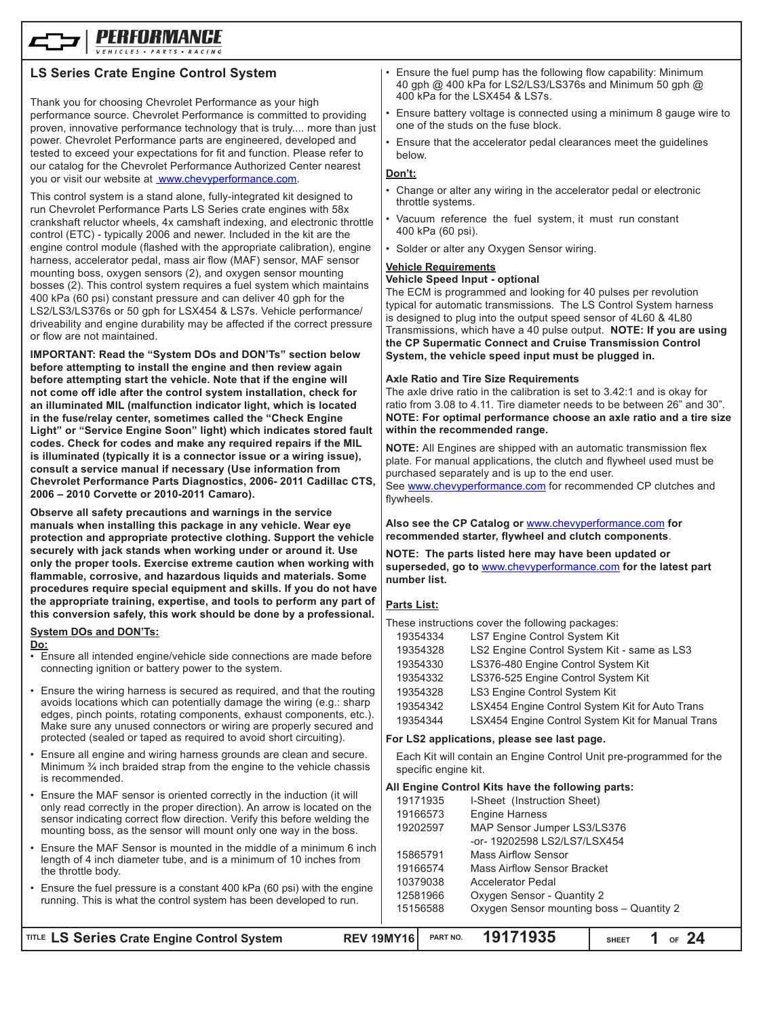

# **LS Series Crate Engine Control System**

Thank you for choosing Chevrolet Performance as your high performance source. Chevrolet Performance is committed to providing proven, innovative performance technology that is truly.... more than just power. Chevrolet Performance parts are engineered, developed and tested to exceed your expectations for fit and function. Please refer to our catalog for the Chevrolet Performance Authorized Center nearest you or visit our website at www.chevyperformance.com.

This control system is a stand alone, fully-integrated kit designed to run Chevrolet Performance Parts LS Series crate engines with 58x crankshaft reluctor wheels, 4x camshaft indexing, and electronic throttle control (ETC) - typically 2006 and newer. Included in the kit are the engine control module (flashed with the appropriate calibration), engine harness, accelerator pedal, mass air flow (MAF) sensor, MAF sensor mounting boss, oxygen sensors (2), and oxygen sensor mounting bosses (2). This control system requires a fuel system which maintains 400 kPa (60 psi) constant pressure and can deliver 40 gph for the LS2/LS3/LS376s or 50 gph for LSX454 & LS7s. Vehicle performance/ driveability and engine durability may be affected if the correct pressure or flow are not maintained.

**IMPORTANT: Read the "System DOs and DON'Ts" section below before attempting to install the engine and then review again before attempting start the vehicle. Note that if the engine will not come off idle after the control system installation, check for an illuminated MIL (malfunction indicator light, which is located in the fuse/relay center, sometimes called the "Check Engine Light" or "Service Engine Soon" light) which indicates stored fault codes. Check for codes and make any required repairs if the MIL is illuminated (typically it is a connector issue or a wiring issue), consult a service manual if necessary (Use information from Chevrolet Performance Parts Diagnostics, 2006- 2011 Cadillac CTS, 2006 – 2010 Corvette or 2010-2011 Camaro).**

**Observe all safety precautions and warnings in the service manuals when installing this package in any vehicle. Wear eye protection and appropriate protective clothing. Support the vehicle securely with jack stands when working under or around it. Use only the proper tools. Exercise extreme caution when working with flammable, corrosive, and hazardous liquids and materials. Some procedures require special equipment and skills. If you do not have the appropriate training, expertise, and tools to perform any part of this conversion safely, this work should be done by a professional.**

#### **System DOs and DON'Ts:**

**Do:**

- Ensure all intended engine/vehicle side connections are made before connecting ignition or battery power to the system.
- Ensure the wiring harness is secured as required, and that the routing avoids locations which can potentially damage the wiring (e.g.: sharp edges, pinch points, rotating components, exhaust components, etc.). Make sure any unused connectors or wiring are properly secured and protected (sealed or taped as required to avoid short circuiting).
- Ensure all engine and wiring harness grounds are clean and secure. Minimum ¾ inch braided strap from the engine to the vehicle chassis is recommended.
- Ensure the MAF sensor is oriented correctly in the induction (it will only read correctly in the proper direction). An arrow is located on the sensor indicating correct flow direction. Verify this before welding the mounting boss, as the sensor will mount only one way in the boss.
- Ensure the MAF Sensor is mounted in the middle of a minimum 6 inch length of 4 inch diameter tube, and is a minimum of 10 inches from the throttle body.
- Ensure the fuel pressure is a constant 400 kPa (60 psi) with the engine running. This is what the control system has been developed to run.
- Ensure the fuel pump has the following flow capability: Minimum 40 gph @ 400 kPa for LS2/LS3/LS376s and Minimum 50 gph @ 400 kPa for the LSX454 & LS7s.
- Ensure battery voltage is connected using a minimum 8 gauge wire to one of the studs on the fuse block.
- Ensure that the accelerator pedal clearances meet the guidelines below.

#### **Don't:**

- Change or alter any wiring in the accelerator pedal or electronic throttle systems.
- Vacuum reference the fuel system, it must run constant 400 kPa (60 psi).
- Solder or alter any Oxygen Sensor wiring.

# **Vehicle Requirements**

**Vehicle Speed Input - optional** The ECM is programmed and looking for 40 pulses per revolution typical for automatic transmissions. The LS Control System harness is designed to plug into the output speed sensor of 4L60 & 4L80 Transmissions, which have a 40 pulse output. **NOTE: If you are using the CP Supermatic Connect and Cruise Transmission Control System, the vehicle speed input must be plugged in.**

#### **Axle Ratio and Tire Size Requirements**

The axle drive ratio in the calibration is set to 3.42:1 and is okay for ratio from 3.08 to 4.11. Tire diameter needs to be between 26" and 30". **NOTE: For optimal performance choose an axle ratio and a tire size within the recommended range.**

**NOTE:** All Engines are shipped with an automatic transmission flex plate. For manual applications, the clutch and flywheel used must be purchased separately and is up to the end user.

See www.chevyperformance.com for recommended CP clutches and flywheels.

#### **Also see the CP Catalog or** www.chevyperformance.com **for recommended starter, flywheel and clutch components**.

**NOTE: The parts listed here may have been updated or superseded, go to** www.chevyperformance.com **for the latest part number list.**

#### **Parts List:**

|          | These instructions cover the following packages:  |
|----------|---------------------------------------------------|
| 19354334 | LS7 Engine Control System Kit                     |
| 19354328 | LS2 Engine Control System Kit - same as LS3       |
| 19354330 | LS376-480 Engine Control System Kit               |
| 19354332 | LS376-525 Engine Control System Kit               |
| 19354328 | LS3 Engine Control System Kit                     |
| 19354342 | LSX454 Engine Control System Kit for Auto Trans   |
| 19354344 | LSX454 Engine Control System Kit for Manual Trans |
|          |                                                   |

#### **For LS2 applications, please see last page.**

Each Kit will contain an Engine Control Unit pre-programmed for the specific engine kit.

#### **All Engine Control Kits have the following parts:**

| 19171935 | I-Sheet (Instruction Sheet)              |
|----------|------------------------------------------|
| 19166573 | <b>Engine Harness</b>                    |
| 19202597 | MAP Sensor Jumper LS3/LS376              |
|          | -or- 19202598 LS2/LS7/LSX454             |
| 15865791 | Mass Airflow Sensor                      |
| 19166574 | Mass Airflow Sensor Bracket              |
| 10379038 | Accelerator Pedal                        |
| 12581966 | Oxygen Sensor - Quantity 2               |
| 15156588 | Oxygen Sensor mounting boss - Quantity 2 |
|          |                                          |

| <b>TITLE LS Series Crate Engine Control System</b> | REV 19MY16 PART NO. 19171935 | SHEET $1$ of $24$ |
|----------------------------------------------------|------------------------------|-------------------|
|                                                    |                              |                   |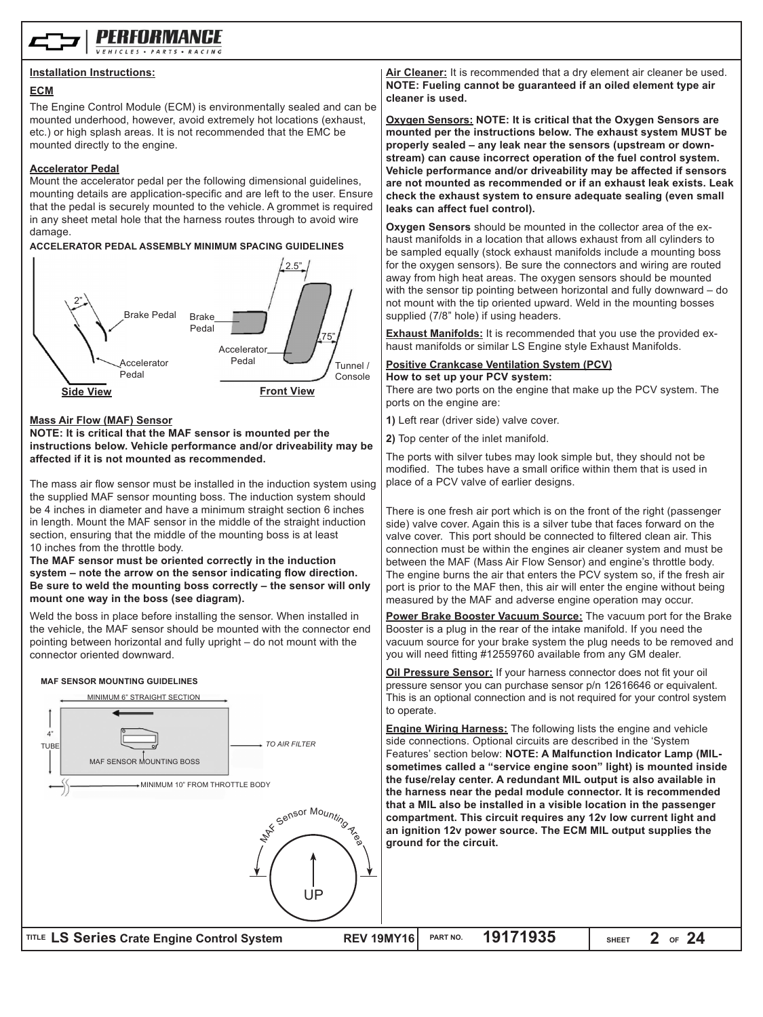

#### **Installation Instructions:**

#### **ECM**

The Engine Control Module (ECM) is environmentally sealed and can be mounted underhood, however, avoid extremely hot locations (exhaust, etc.) or high splash areas. It is not recommended that the EMC be mounted directly to the engine.

#### **Accelerator Pedal**

Mount the accelerator pedal per the following dimensional guidelines, mounting details are application-specific and are left to the user. Ensure that the pedal is securely mounted to the vehicle. A grommet is required in any sheet metal hole that the harness routes through to avoid wire damage.

#### **ACCELERATOR PEDAL ASSEMBLY MINIMUM SPACING GUIDELINES**



#### **Mass Air Flow (MAF) Sensor**

#### **NOTE: It is critical that the MAF sensor is mounted per the instructions below. Vehicle performance and/or driveability may be affected if it is not mounted as recommended.**

The mass air flow sensor must be installed in the induction system using the supplied MAF sensor mounting boss. The induction system should be 4 inches in diameter and have a minimum straight section 6 inches in length. Mount the MAF sensor in the middle of the straight induction section, ensuring that the middle of the mounting boss is at least 10 inches from the throttle body.

**The MAF sensor must be oriented correctly in the induction system – note the arrow on the sensor indicating flow direction. Be sure to weld the mounting boss correctly – the sensor will only mount one way in the boss (see diagram).**

Weld the boss in place before installing the sensor. When installed in the vehicle, the MAF sensor should be mounted with the connector end pointing between horizontal and fully upright – do not mount with the connector oriented downward.

# **MAF SENSOR MOUNTING GUIDELINES**



**Air Cleaner:** It is recommended that a dry element air cleaner be used. **NOTE: Fueling cannot be guaranteed if an oiled element type air cleaner is used.**

**Oxygen Sensors: NOTE: It is critical that the Oxygen Sensors are mounted per the instructions below. The exhaust system MUST be properly sealed – any leak near the sensors (upstream or downstream) can cause incorrect operation of the fuel control system. Vehicle performance and/or driveability may be affected if sensors are not mounted as recommended or if an exhaust leak exists. Leak check the exhaust system to ensure adequate sealing (even small leaks can affect fuel control).**

**Oxygen Sensors** should be mounted in the collector area of the exhaust manifolds in a location that allows exhaust from all cylinders to be sampled equally (stock exhaust manifolds include a mounting boss for the oxygen sensors). Be sure the connectors and wiring are routed away from high heat areas. The oxygen sensors should be mounted with the sensor tip pointing between horizontal and fully downward – do not mount with the tip oriented upward. Weld in the mounting bosses supplied (7/8" hole) if using headers.

**Exhaust Manifolds:** It is recommended that you use the provided exhaust manifolds or similar LS Engine style Exhaust Manifolds.

#### **Positive Crankcase Ventilation System (PCV) How to set up your PCV system:**

There are two ports on the engine that make up the PCV system. The ports on the engine are:

**1)** Left rear (driver side) valve cover.

**2)** Top center of the inlet manifold.

The ports with silver tubes may look simple but, they should not be modified. The tubes have a small orifice within them that is used in place of a PCV valve of earlier designs.

There is one fresh air port which is on the front of the right (passenger side) valve cover. Again this is a silver tube that faces forward on the valve cover. This port should be connected to filtered clean air. This connection must be within the engines air cleaner system and must be between the MAF (Mass Air Flow Sensor) and engine's throttle body. The engine burns the air that enters the PCV system so, if the fresh air port is prior to the MAF then, this air will enter the engine without being measured by the MAF and adverse engine operation may occur.

**Power Brake Booster Vacuum Source:** The vacuum port for the Brake Booster is a plug in the rear of the intake manifold. If you need the vacuum source for your brake system the plug needs to be removed and you will need fitting #12559760 available from any GM dealer.

**Oil Pressure Sensor:** If your harness connector does not fit your oil pressure sensor you can purchase sensor p/n 12616646 or equivalent. This is an optional connection and is not required for your control system

**Engine Wiring Harness:** The following lists the engine and vehicle side connections. Optional circuits are described in the 'System Features' section below: **NOTE: A Malfunction Indicator Lamp (MILsometimes called a "service engine soon" light) is mounted inside the fuse/relay center. A redundant MIL output is also available in the harness near the pedal module connector. It is recommended that a MIL also be installed in a visible location in the passenger compartment. This circuit requires any 12v low current light and**  an ignition 12v power source. The ECM MIL output supplies the **ground for the circuit.**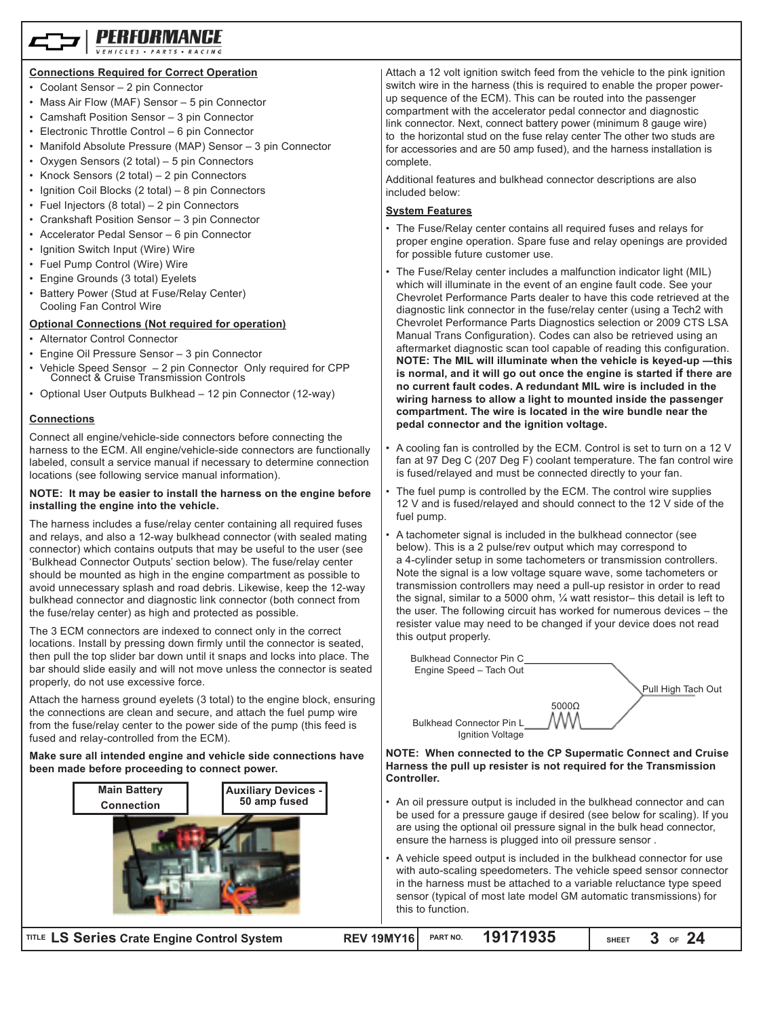#### **Connections Required for Correct Operation**

- Coolant Sensor 2 pin Connector
- Mass Air Flow (MAF) Sensor 5 pin Connector
- Camshaft Position Sensor 3 pin Connector
- Electronic Throttle Control 6 pin Connector
- Manifold Absolute Pressure (MAP) Sensor 3 pin Connector
- Oxygen Sensors (2 total) 5 pin Connectors
- Knock Sensors (2 total) 2 pin Connectors
- Ignition Coil Blocks (2 total) 8 pin Connectors
- Fuel Injectors (8 total) 2 pin Connectors
- Crankshaft Position Sensor 3 pin Connector
- Accelerator Pedal Sensor 6 pin Connector
- Ignition Switch Input (Wire) Wire
- Fuel Pump Control (Wire) Wire
- Engine Grounds (3 total) Eyelets
- Battery Power (Stud at Fuse/Relay Center) Cooling Fan Control Wire

#### **Optional Connections (Not required for operation)**

- Alternator Control Connector
- Engine Oil Pressure Sensor 3 pin Connector
- Vehicle Speed Sensor 2 pin Connector Only required for CPP Connect & Cruise Transmission Controls
- Optional User Outputs Bulkhead 12 pin Connector (12-way)

#### **Connections**

Connect all engine/vehicle-side connectors before connecting the harness to the ECM. All engine/vehicle-side connectors are functionally labeled, consult a service manual if necessary to determine connection locations (see following service manual information).

#### **NOTE: It may be easier to install the harness on the engine before installing the engine into the vehicle.**

The harness includes a fuse/relay center containing all required fuses and relays, and also a 12-way bulkhead connector (with sealed mating connector) which contains outputs that may be useful to the user (see 'Bulkhead Connector Outputs' section below). The fuse/relay center should be mounted as high in the engine compartment as possible to avoid unnecessary splash and road debris. Likewise, keep the 12-way bulkhead connector and diagnostic link connector (both connect from the fuse/relay center) as high and protected as possible.

The 3 ECM connectors are indexed to connect only in the correct locations. Install by pressing down firmly until the connector is seated, then pull the top slider bar down until it snaps and locks into place. The bar should slide easily and will not move unless the connector is seated properly, do not use excessive force.

Attach the harness ground eyelets (3 total) to the engine block, ensuring the connections are clean and secure, and attach the fuel pump wire from the fuse/relay center to the power side of the pump (this feed is fused and relay-controlled from the ECM).

#### **Make sure all intended engine and vehicle side connections have been made before proceeding to connect power.**



 $TITLE$  LS Series Crate I

Attach a 12 volt ignition switch feed from the vehicle to the pink ignition switch wire in the harness (this is required to enable the proper powerup sequence of the ECM). This can be routed into the passenger compartment with the accelerator pedal connector and diagnostic link connector. Next, connect battery power (minimum 8 gauge wire) to the horizontal stud on the fuse relay center The other two studs are for accessories and are 50 amp fused), and the harness installation is complete.

Additional features and bulkhead connector descriptions are also included below:

#### **System Features**

- The Fuse/Relay center contains all required fuses and relays for proper engine operation. Spare fuse and relay openings are provided for possible future customer use.
- The Fuse/Relay center includes a malfunction indicator light (MIL) which will illuminate in the event of an engine fault code. See your Chevrolet Performance Parts dealer to have this code retrieved at the diagnostic link connector in the fuse/relay center (using a Tech2 with Chevrolet Performance Parts Diagnostics selection or 2009 CTS LSA Manual Trans Configuration). Codes can also be retrieved using an aftermarket diagnostic scan tool capable of reading this configuration. **NOTE: The MIL will illuminate when the vehicle is keyed-up —this is normal, and it will go out once the engine is started if there are no current fault codes. A redundant MIL wire is included in the wiring harness to allow a light to mounted inside the passenger compartment. The wire is located in the wire bundle near the pedal connector and the ignition voltage.**
- A cooling fan is controlled by the ECM. Control is set to turn on a 12 V fan at 97 Deg C (207 Deg F) coolant temperature. The fan control wire is fused/relayed and must be connected directly to your fan.
- The fuel pump is controlled by the ECM. The control wire supplies 12 V and is fused/relayed and should connect to the 12 V side of the fuel pump.
- A tachometer signal is included in the bulkhead connector (see below). This is a 2 pulse/rev output which may correspond to a 4-cylinder setup in some tachometers or transmission controllers. Note the signal is a low voltage square wave, some tachometers or transmission controllers may need a pull-up resistor in order to read the signal, similar to a 5000 ohm, ¼ watt resistor– this detail is left to the user. The following circuit has worked for numerous devices – the resister value may need to be changed if your device does not read this output properly.



**NOTE: When connected to the CP Supermatic Connect and Cruise Harness the pull up resister is not required for the Transmission Controller.**

- An oil pressure output is included in the bulkhead connector and can be used for a pressure gauge if desired (see below for scaling). If you are using the optional oil pressure signal in the bulk head connector, ensure the harness is plugged into oil pressure sensor .
- A vehicle speed output is included in the bulkhead connector for use with auto-scaling speedometers. The vehicle speed sensor connector in the harness must be attached to a variable reluctance type speed sensor (typical of most late model GM automatic transmissions) for this to function.

| <b>Engine Control System</b> | REV 19MY16 PART NO. | 19171935 | $^{\prime}$ sheet $3$ of $24$ |  |
|------------------------------|---------------------|----------|-------------------------------|--|
|                              |                     |          |                               |  |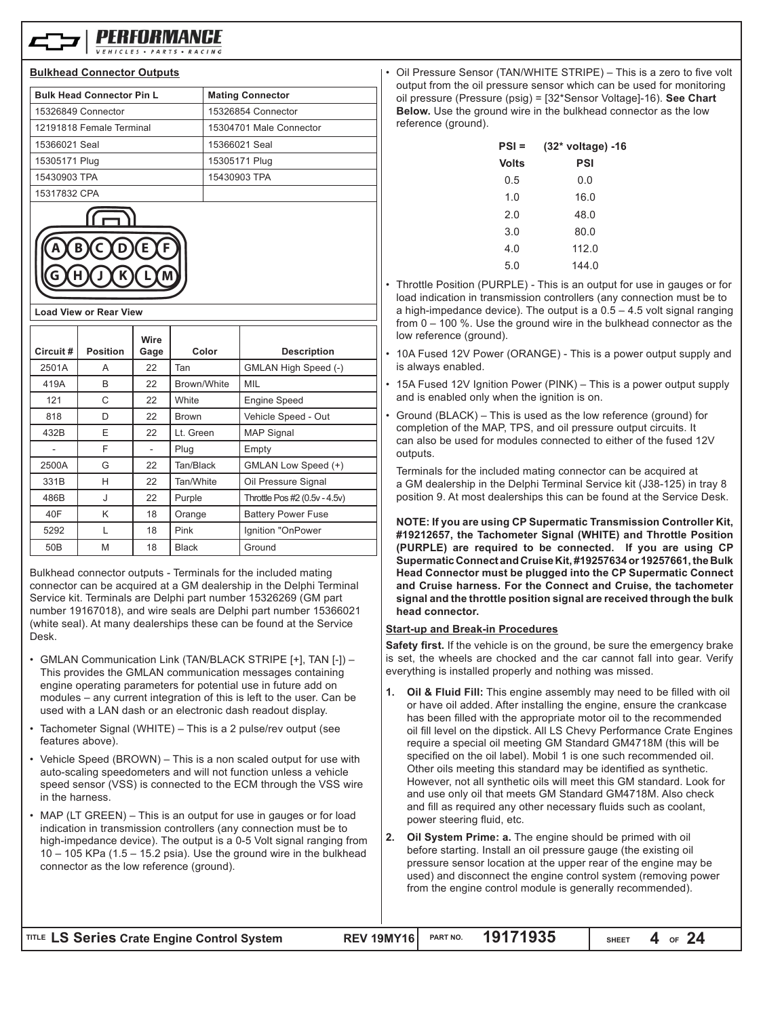

#### **Bulkhead Connector Outputs**

| <b>Bulk Head Connector Pin L</b> | <b>Mating Connector</b> |
|----------------------------------|-------------------------|
| 15326849 Connector               | 15326854 Connector      |
| 12191818 Female Terminal         | 15304701 Male Connector |
| 15366021 Seal                    | 15366021 Seal           |
| 15305171 Plug                    | 15305171 Plug           |
| 15430903 TPA                     | 15430903 TPA            |
| 15317832 CPA                     |                         |
|                                  |                         |

**Load View or Rear View**

| Circuit#        | <b>Position</b> | Wire<br>Gage | Color        | <b>Description</b>            |
|-----------------|-----------------|--------------|--------------|-------------------------------|
| 2501A           | A               | 22           | Tan          | GMLAN High Speed (-)          |
| 419A            | B               | 22           | Brown/White  | MIL                           |
| 121             | C               | 22           | White        | <b>Engine Speed</b>           |
| 818             | D               | 22           | <b>Brown</b> | Vehicle Speed - Out           |
| 432B            | E               | 22           | Lt. Green    | <b>MAP Signal</b>             |
|                 | F               |              | Plug         | Empty                         |
| 2500A           | G               | 22           | Tan/Black    | GMLAN Low Speed (+)           |
| 331B            | H               | 22           | Tan/White    | Oil Pressure Signal           |
| 486B            | J               | 22           | Purple       | Throttle Pos #2 (0.5v - 4.5v) |
| 40F             | K               | 18           | Orange       | <b>Battery Power Fuse</b>     |
| 5292            | L               | 18           | Pink         | Ignition "OnPower             |
| 50 <sub>B</sub> | M               | 18           | <b>Black</b> | Ground                        |

Bulkhead connector outputs - Terminals for the included mating connector can be acquired at a GM dealership in the Delphi Terminal Service kit. Terminals are Delphi part number 15326269 (GM part number 19167018), and wire seals are Delphi part number 15366021 (white seal). At many dealerships these can be found at the Service Desk.

- GMLAN Communication Link (TAN/BLACK STRIPE [+], TAN [-]) This provides the GMLAN communication messages containing engine operating parameters for potential use in future add on modules – any current integration of this is left to the user. Can be used with a LAN dash or an electronic dash readout display.
- Tachometer Signal (WHITE) This is a 2 pulse/rev output (see features above).
- Vehicle Speed (BROWN) This is a non scaled output for use with auto-scaling speedometers and will not function unless a vehicle speed sensor (VSS) is connected to the ECM through the VSS wire in the harness.
- MAP (LT GREEN) This is an output for use in gauges or for load indication in transmission controllers (any connection must be to high-impedance device). The output is a 0-5 Volt signal ranging from 10 – 105 KPa (1.5 – 15.2 psia). Use the ground wire in the bulkhead connector as the low reference (ground).

• Oil Pressure Sensor (TAN/WHITE STRIPE) – This is a zero to five volt output from the oil pressure sensor which can be used for monitoring oil pressure (Pressure (psig) = [32\*Sensor Voltage]-16). **See Chart Below.** Use the ground wire in the bulkhead connector as the low reference (ground).

| PSI =        | (32* voltage) -16 |
|--------------|-------------------|
| <b>Volts</b> | PSI               |
| 0.5          | 0.0               |
| 1.0          | 16.0              |
| 2.0          | 48.0              |
| 3.0          | 80.0              |
| 4.0          | 112.0             |
| 5.0          | 144.0             |
|              |                   |

- Throttle Position (PURPLE) This is an output for use in gauges or for load indication in transmission controllers (any connection must be to a high-impedance device). The output is a  $0.5 - 4.5$  volt signal ranging from 0 – 100 %. Use the ground wire in the bulkhead connector as the low reference (ground).
- 10A Fused 12V Power (ORANGE) This is a power output supply and is always enabled.
- 15A Fused 12V Ignition Power (PINK) This is a power output supply and is enabled only when the ignition is on.
- Ground (BLACK) This is used as the low reference (ground) for completion of the MAP, TPS, and oil pressure output circuits. It can also be used for modules connected to either of the fused 12V outputs.

Terminals for the included mating connector can be acquired at a GM dealership in the Delphi Terminal Service kit (J38-125) in tray 8 position 9. At most dealerships this can be found at the Service Desk.

**NOTE: If you are using CP Supermatic Transmission Controller Kit, #19212657, the Tachometer Signal (WHITE) and Throttle Position (PURPLE) are required to be connected. If you are using CP Supermatic Connect and Cruise Kit, #19257634 or 19257661, the Bulk Head Connector must be plugged into the CP Supermatic Connect and Cruise harness. For the Connect and Cruise, the tachometer signal and the throttle position signal are received through the bulk head connector.**

# **Start-up and Break-in Procedures**

**Safety first.** If the vehicle is on the ground, be sure the emergency brake is set, the wheels are chocked and the car cannot fall into gear. Verify everything is installed properly and nothing was missed.

- **1. Oil & Fluid Fill:** This engine assembly may need to be filled with oil or have oil added. After installing the engine, ensure the crankcase has been filled with the appropriate motor oil to the recommended oil fill level on the dipstick. All LS Chevy Performance Crate Engines require a special oil meeting GM Standard GM4718M (this will be specified on the oil label). Mobil 1 is one such recommended oil. Other oils meeting this standard may be identified as synthetic. However, not all synthetic oils will meet this GM standard. Look for and use only oil that meets GM Standard GM4718M. Also check and fill as required any other necessary fluids such as coolant, power steering fluid, etc.
- **2. Oil System Prime: a.** The engine should be primed with oil before starting. Install an oil pressure gauge (the existing oil pressure sensor location at the upper rear of the engine may be used) and disconnect the engine control system (removing power from the engine control module is generally recommended).

**LS Series Crate Engine Control System REV 19MY16 TITLE PART NO. 19171935**

**SHEET OF 4 24**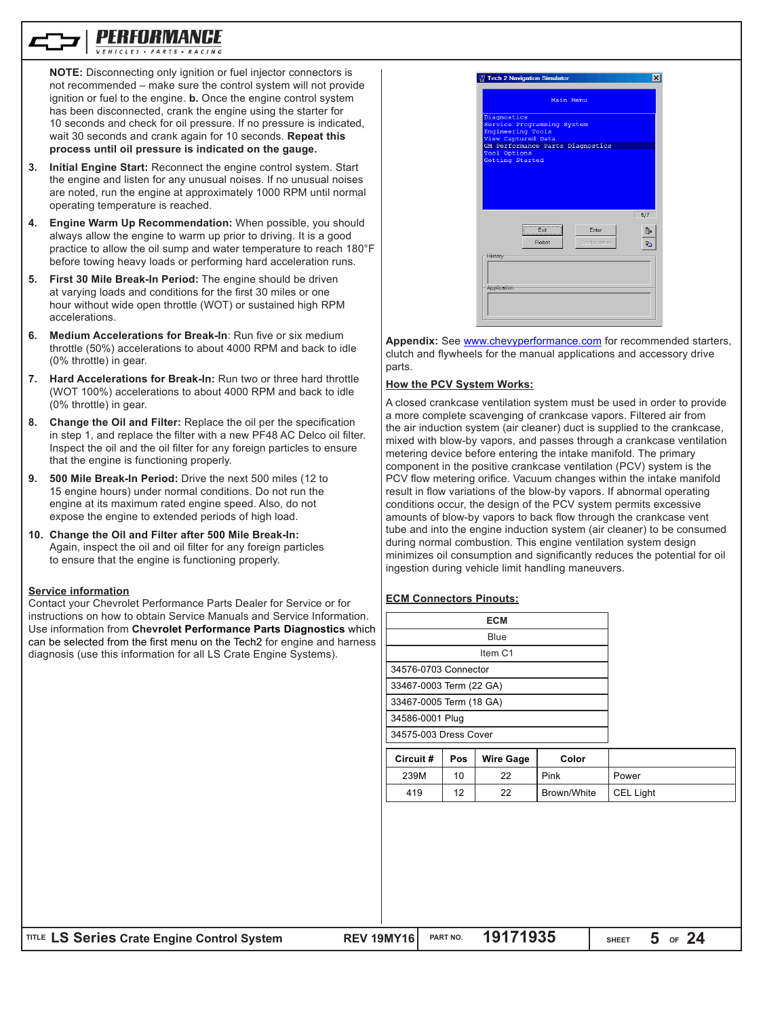

**NOTE:** Disconnecting only ignition or fuel injector connectors is not recommended – make sure the control system will not provide ignition or fuel to the engine. **b.** Once the engine control system has been disconnected, crank the engine using the starter for 10 seconds and check for oil pressure. If no pressure is indicated, wait 30 seconds and crank again for 10 seconds. **Repeat this process until oil pressure is indicated on the gauge.**

- **3. Initial Engine Start:** Reconnect the engine control system. Start the engine and listen for any unusual noises. If no unusual noises are noted, run the engine at approximately 1000 RPM until normal operating temperature is reached.
- **4. Engine Warm Up Recommendation:** When possible, you should always allow the engine to warm up prior to driving. It is a good practice to allow the oil sump and water temperature to reach 180°F before towing heavy loads or performing hard acceleration runs.
- **5. First 30 Mile Break-In Period:** The engine should be driven at varying loads and conditions for the first 30 miles or one hour without wide open throttle (WOT) or sustained high RPM accelerations.
- **6. Medium Accelerations for Break-In**: Run five or six medium throttle (50%) accelerations to about 4000 RPM and back to idle (0% throttle) in gear.
- **7. Hard Accelerations for Break-In:** Run two or three hard throttle (WOT 100%) accelerations to about 4000 RPM and back to idle (0% throttle) in gear.
- **8. Change the Oil and Filter:** Replace the oil per the specification in step 1, and replace the filter with a new PF48 AC Delco oil filter. Inspect the oil and the oil filter for any foreign particles to ensure that the engine is functioning properly.
- **9. 500 Mile Break-In Period:** Drive the next 500 miles (12 to 15 engine hours) under normal conditions. Do not run the engine at its maximum rated engine speed. Also, do not expose the engine to extended periods of high load.
- **10. Change the Oil and Filter after 500 Mile Break-In:** Again, inspect the oil and oil filter for any foreign particles to ensure that the engine is functioning properly.

#### **Service information**

Contact your Chevrolet Performance Parts Dealer for Service or for instructions on how to obtain Service Manuals and Service **Use information from Chevrolet Performance Parts Diagnost** can be selected from the first menu on the Tech2 for engine diagnosis (use this information for all LS Crate Engine Systems).

|                 | <b>Tech 2 Navigation Simulator</b>                                    |               | $\times$  |
|-----------------|-----------------------------------------------------------------------|---------------|-----------|
|                 | Main Menu                                                             |               |           |
| Diagnostics     | Service Programming System<br>Engineering Tools<br>View Captured Data |               |           |
| Tool Options    | GM Performance Parts Diagnostics                                      |               |           |
| Getting Started |                                                                       |               |           |
|                 |                                                                       |               |           |
|                 |                                                                       |               |           |
|                 |                                                                       |               |           |
|                 |                                                                       |               | 5/7       |
|                 |                                                                       | Enter         |           |
|                 | Exit<br>Robot                                                         | Configuration | īL.<br>En |
| History         |                                                                       |               |           |
|                 |                                                                       |               |           |
|                 |                                                                       |               |           |
| Application     |                                                                       |               |           |

**Appendix:** See www.chevyperformance.com for recommended starters, clutch and flywheels for the manual applications and accessory drive parts.

#### **How the PCV System Works:**

A closed crankcase ventilation system must be used in order to provide a more complete scavenging of crankcase vapors. Filtered air from the air induction system (air cleaner) duct is supplied to the crankcase, mixed with blow-by vapors, and passes through a crankcase ventilation metering device before entering the intake manifold. The primary component in the positive crankcase ventilation (PCV) system is the PCV flow metering orifice. Vacuum changes within the intake manifold result in flow variations of the blow-by vapors. If abnormal operating conditions occur, the design of the PCV system permits excessive amounts of blow-by vapors to back flow through the crankcase vent tube and into the engine induction system (air cleaner) to be consumed during normal combustion. This engine ventilation system design minimizes oil consumption and significantly reduces the potential for oil ingestion during vehicle limit handling maneuvers.

#### **ECM Connectors Pinouts:**

| וטו וט סענ                       |                         |                 |                  |             |           |
|----------------------------------|-------------------------|-----------------|------------------|-------------|-----------|
| e Information.<br>gnostics which |                         |                 |                  |             |           |
| ne and harness<br>stems).        |                         |                 |                  |             |           |
|                                  |                         |                 | Item C1          |             |           |
|                                  | 34576-0703 Connector    |                 |                  |             |           |
|                                  | 33467-0003 Term (22 GA) |                 |                  |             |           |
|                                  | 33467-0005 Term (18 GA) |                 |                  |             |           |
|                                  | 34586-0001 Plug         |                 |                  |             |           |
|                                  | 34575-003 Dress Cover   |                 |                  |             |           |
|                                  | Circuit#                | Pos             | <b>Wire Gage</b> | Color       |           |
|                                  | 239M                    | 10              | 22               | Pink        | Power     |
|                                  | 419                     | 12              | 22               | Brown/White | CEL Light |
|                                  |                         |                 |                  |             |           |
|                                  |                         |                 |                  |             |           |
|                                  |                         |                 |                  |             |           |
|                                  |                         |                 |                  |             |           |
|                                  |                         |                 |                  |             |           |
|                                  |                         |                 |                  |             |           |
|                                  |                         |                 |                  |             |           |
|                                  |                         |                 |                  |             |           |
| <b>BEU JAHUJA</b>                |                         | <b>DART HO.</b> | 1017102E         |             | E.<br>O A |

**IITLE LS Series Crate Engine Control System <b>REV 19MY16** PART NO. **19171935**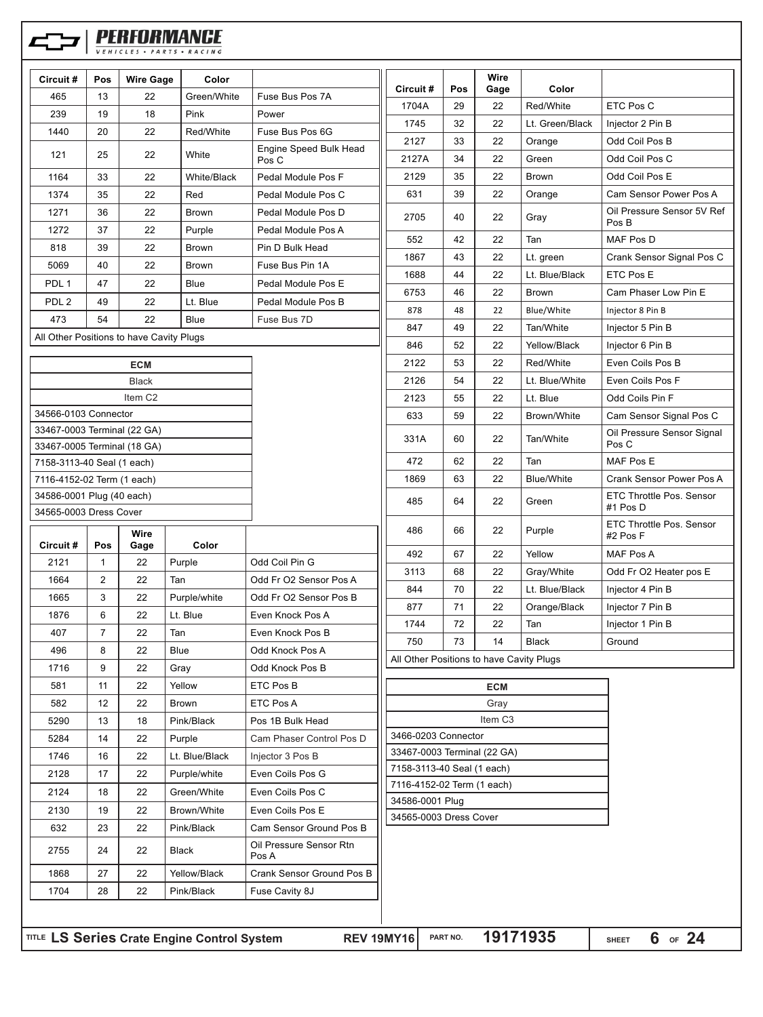|                                                            |                |                     | PERFORMANCE    |                          |                                          |                            |                     |                   |                                        |
|------------------------------------------------------------|----------------|---------------------|----------------|--------------------------|------------------------------------------|----------------------------|---------------------|-------------------|----------------------------------------|
| Circuit#                                                   | Pos            | <b>Wire Gage</b>    | Color          |                          |                                          |                            | Wire                |                   |                                        |
| 465                                                        | 13             | 22                  | Green/White    | Fuse Bus Pos 7A          | Circuit#                                 | Pos                        | Gage                | Color             |                                        |
| 239                                                        | 19             | 18                  | Pink           | Power                    | 1704A                                    | 29                         | 22                  | Red/White         | ETC Pos C                              |
| 1440                                                       | 20             | 22                  | Red/White      | Fuse Bus Pos 6G          | 1745                                     | 32                         | 22                  | Lt. Green/Black   | Injector 2 Pin B                       |
|                                                            |                |                     |                | Engine Speed Bulk Head   | 2127                                     | 33                         | 22                  | Orange            | Odd Coil Pos B                         |
| 121                                                        | 25             | 22                  | White          | Pos C                    | 2127A                                    | 34                         | 22                  | Green             | Odd Coil Pos C                         |
| 1164                                                       | 33             | 22                  | White/Black    | Pedal Module Pos F       | 2129                                     | 35                         | 22                  | <b>Brown</b>      | Odd Coil Pos E                         |
| 1374                                                       | 35             | 22                  | Red            | Pedal Module Pos C       | 631                                      | 39                         | 22                  | Orange            | Cam Sensor Power Pos A                 |
| 1271                                                       | 36             | 22                  | <b>Brown</b>   | Pedal Module Pos D       | 2705                                     | 40                         | 22                  | Gray              | Oil Pressure Sensor 5V Ref             |
| 1272                                                       | 37             | 22                  | Purple         | Pedal Module Pos A       | 552                                      | 42                         | 22                  | Tan               | Pos B<br><b>MAF Pos D</b>              |
| 818                                                        | 39             | 22                  | Brown          | Pin D Bulk Head          |                                          |                            |                     |                   |                                        |
| 5069                                                       | 40             | 22                  | Brown          | Fuse Bus Pin 1A          | 1867                                     | 43                         | 22<br>22            | Lt. green         | Crank Sensor Signal Pos C<br>ETC Pos E |
| PDL <sub>1</sub>                                           | 47             | 22                  | <b>Blue</b>    | Pedal Module Pos E       | 1688                                     | 44                         |                     | Lt. Blue/Black    |                                        |
| PDL <sub>2</sub>                                           | 49             | 22                  | Lt. Blue       | Pedal Module Pos B       | 6753                                     | 46                         | 22                  | <b>Brown</b>      | Cam Phaser Low Pin E                   |
| 473                                                        | 54             | 22                  | <b>Blue</b>    | Fuse Bus 7D              | 878                                      | 48                         | 22                  | Blue/White        | Injector 8 Pin B                       |
| All Other Positions to have Cavity Plugs                   |                |                     |                |                          | 847                                      | 49                         | 22                  | Tan/White         | Injector 5 Pin B                       |
|                                                            |                |                     |                |                          | 846                                      | 52                         | 22                  | Yellow/Black      | Injector 6 Pin B                       |
|                                                            |                | <b>ECM</b>          |                |                          | 2122                                     | 53                         | 22                  | Red/White         | Even Coils Pos B                       |
|                                                            |                | <b>Black</b>        |                |                          | 2126                                     | 54                         | 22                  | Lt. Blue/White    | Even Coils Pos F                       |
|                                                            |                | Item C <sub>2</sub> |                |                          | 2123                                     | 55                         | 22                  | Lt. Blue          | Odd Coils Pin F                        |
| 34566-0103 Connector                                       |                |                     |                |                          | 633                                      | 59                         | 22                  | Brown/White       | Cam Sensor Signal Pos C                |
| 33467-0003 Terminal (22 GA)<br>33467-0005 Terminal (18 GA) |                |                     |                |                          | 331A                                     | 60                         | 22                  | Tan/White         | Oil Pressure Sensor Signal<br>Pos C    |
| 7158-3113-40 Seal (1 each)                                 |                |                     |                |                          | 472                                      | 62                         | 22                  | Tan               | MAF Pos E                              |
| 7116-4152-02 Term (1 each)                                 |                |                     |                |                          | 1869                                     | 63                         | 22                  | <b>Blue/White</b> | Crank Sensor Power Pos A               |
| 34586-0001 Plug (40 each)                                  |                |                     |                |                          | 485                                      | 64                         | 22                  | Green             | ETC Throttle Pos. Sensor               |
| 34565-0003 Dress Cover                                     |                |                     |                |                          |                                          |                            |                     |                   | #1 Pos D                               |
| Circuit#                                                   | Pos            | <b>Wire</b><br>Gage | Color          |                          | 486                                      | 66                         | 22                  | Purple            | ETC Throttle Pos. Sensor<br>#2 Pos F   |
| 2121                                                       | 1              | 22                  | Purple         | Odd Coil Pin G           | 492                                      | 67                         | 22                  | Yellow            | MAF Pos A                              |
| 1664                                                       | $\overline{c}$ | 22                  | Tan            | Odd Fr O2 Sensor Pos A   | 3113                                     | 68                         | 22                  | Gray/White        | Odd Fr O2 Heater pos E                 |
| 1665                                                       | 3              | 22                  | Purple/white   | Odd Fr O2 Sensor Pos B   | 844                                      | 70                         | 22                  | Lt. Blue/Black    | Injector 4 Pin B                       |
| 1876                                                       | 6              | 22                  | Lt. Blue       | Even Knock Pos A         | 877                                      | 71                         | 22                  | Orange/Black      | Injector 7 Pin B                       |
| 407                                                        | $\overline{7}$ | 22                  | Tan            | Even Knock Pos B         | 1744                                     | 72                         | 22                  | Tan               | Injector 1 Pin B                       |
| 496                                                        | 8              | 22                  | Blue           | Odd Knock Pos A          | 750                                      | 73                         | 14                  | <b>Black</b>      | Ground                                 |
| 1716                                                       | 9              | 22                  | Gray           | Odd Knock Pos B          | All Other Positions to have Cavity Plugs |                            |                     |                   |                                        |
| 581                                                        | 11             | 22                  | Yellow         | ETC Pos B                |                                          |                            | <b>ECM</b>          |                   |                                        |
| 582                                                        | 12             | 22                  | <b>Brown</b>   | ETC Pos A                |                                          |                            | Gray                |                   |                                        |
| 5290                                                       | 13             | 18                  | Pink/Black     | Pos 1B Bulk Head         |                                          |                            | Item C <sub>3</sub> |                   |                                        |
|                                                            | 14             |                     |                | Cam Phaser Control Pos D | 3466-0203 Connector                      |                            |                     |                   |                                        |
| 5284                                                       |                | 22                  | Purple         |                          | 33467-0003 Terminal (22 GA)              |                            |                     |                   |                                        |
| 1746                                                       | 16             | 22                  | Lt. Blue/Black | Injector 3 Pos B         | 7158-3113-40 Seal (1 each)               |                            |                     |                   |                                        |
| 2128                                                       | 17             | 22                  | Purple/white   | Even Coils Pos G         |                                          | 7116-4152-02 Term (1 each) |                     |                   |                                        |
| 2124                                                       | 18             | 22                  | Green/White    | Even Coils Pos C         | 34586-0001 Plug                          |                            |                     |                   |                                        |
| 2130                                                       | 19             | 22                  | Brown/White    | Even Coils Pos E         | 34565-0003 Dress Cover                   |                            |                     |                   |                                        |
| 632                                                        | 23             | 22                  | Pink/Black     | Cam Sensor Ground Pos B  |                                          |                            |                     |                   |                                        |

**REV 19MY16** PART NO. 19171935

2755 24 22 Black Oil Pressure Sensor Rtn

1704 | 28 | 22 | Pink/Black | Fuse Cavity 8J

1868 | 27 | 22 | Yellow/Black | Crank Sensor Ground Pos B

Pos A

**SHEET OF 6 24**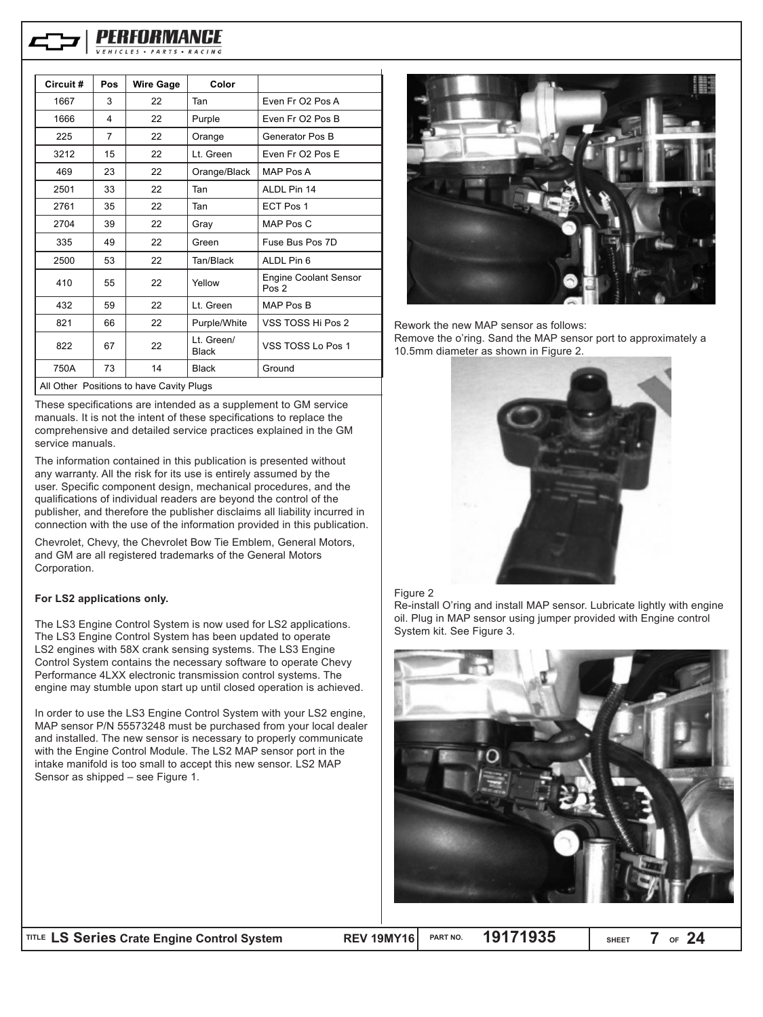

| Circuit#                                 | Pos | <b>Wire Gage</b> | Color                      |                                                  |  |
|------------------------------------------|-----|------------------|----------------------------|--------------------------------------------------|--|
| 1667                                     | 3   | 22               | Tan                        | Even Fr O <sub>2</sub> Pos A                     |  |
| 1666                                     | 4   | 22               | Purple                     | Even Fr O2 Pos B                                 |  |
| 225                                      | 7   | 22               | Orange                     | Generator Pos B                                  |  |
| 3212                                     | 15  | 22               | Lt. Green                  | Even Fr O <sub>2</sub> Pos E                     |  |
| 469                                      | 23  | 22               | Orange/Black               | MAP Pos A                                        |  |
| 2501                                     | 33  | 22               | Tan                        | ALDL Pin 14                                      |  |
| 2761                                     | 35  | 22               | Tan                        | ECT Pos 1                                        |  |
| 2704                                     | 39  | 22               | Gray                       | MAP Pos C                                        |  |
| 335                                      | 49  | 22               | Green                      | Fuse Bus Pos 7D                                  |  |
| 2500                                     | 53  | 22               | Tan/Black                  | ALDL Pin 6                                       |  |
| 410                                      | 55  | 22               | Yellow                     | <b>Engine Coolant Sensor</b><br>Pos <sub>2</sub> |  |
| 432                                      | 59  | 22               | Lt. Green                  | MAP Pos B                                        |  |
| 821                                      | 66  | 22               | Purple/White               | VSS TOSS Hi Pos 2                                |  |
| 822                                      | 67  | 22               | Lt. Green/<br><b>Black</b> | VSS TOSS Lo Pos 1                                |  |
| 750A                                     | 73  | 14               | <b>Black</b>               | Ground                                           |  |
| All Other Positions to have Cavity Plugs |     |                  |                            |                                                  |  |

These specifications are intended as a supplement to GM service manuals. It is not the intent of these specifications to replace the comprehensive and detailed service practices explained in the GM service manuals.

The information contained in this publication is presented without any warranty. All the risk for its use is entirely assumed by the user. Specific component design, mechanical procedures, and the qualifications of individual readers are beyond the control of the publisher, and therefore the publisher disclaims all liability incurred in connection with the use of the information provided in this publication.

Chevrolet, Chevy, the Chevrolet Bow Tie Emblem, General Motors, and GM are all registered trademarks of the General Motors Corporation.

#### **For LS2 applications only.**

The LS3 Engine Control System is now used for LS2 applications. The LS3 Engine Control System has been updated to operate LS2 engines with 58X crank sensing systems. The LS3 Engine Control System contains the necessary software to operate Chevy Performance 4LXX electronic transmission control systems. The engine may stumble upon start up until closed operation is achieved.

In order to use the LS3 Engine Control System with your LS2 engine, MAP sensor P/N 55573248 must be purchased from your local dealer and installed. The new sensor is necessary to properly communicate with the Engine Control Module. The LS2 MAP sensor port in the intake manifold is too small to accept this new sensor. LS2 MAP Sensor as shipped – see Figure 1.



Rework the new MAP sensor as follows:

Remove the o'ring. Sand the MAP sensor port to approximately a 10.5mm diameter as shown in Figure 2.



#### Figure 2

Re-install O'ring and install MAP sensor. Lubricate lightly with engine oil. Plug in MAP sensor using jumper provided with Engine control System kit. See Figure 3.



**SHEET OF 7 24**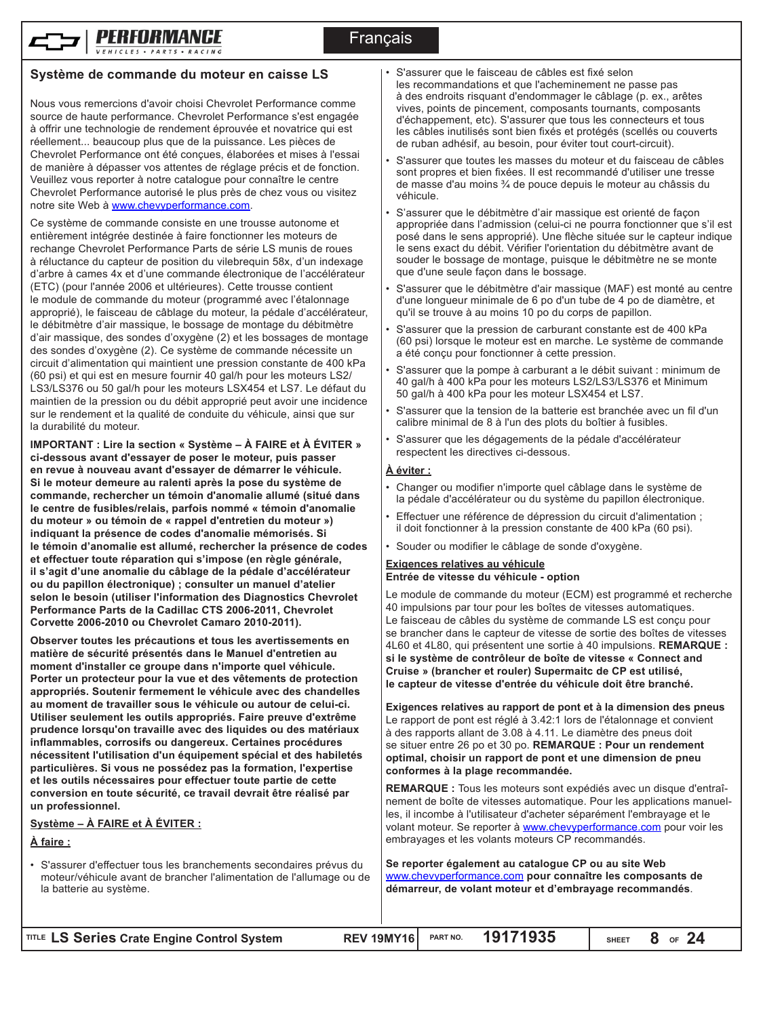

Nous vous remercions d'avoir choisi Chevrolet Performance comme source de haute performance. Chevrolet Performance s'est engagée à offrir une technologie de rendement éprouvée et novatrice qui est réellement... beaucoup plus que de la puissance. Les pièces de Chevrolet Performance ont été conçues, élaborées et mises à l'essai de manière à dépasser vos attentes de réglage précis et de fonction. Veuillez vous reporter à notre catalogue pour connaître le centre Chevrolet Performance autorisé le plus près de chez vous ou visitez notre site Web à www.chevyperformance.com.

Ce système de commande consiste en une trousse autonome et entièrement intégrée destinée à faire fonctionner les moteurs de rechange Chevrolet Performance Parts de série LS munis de roues à réluctance du capteur de position du vilebrequin 58x, d'un indexage d'arbre à cames 4x et d'une commande électronique de l'accélérateur (ETC) (pour l'année 2006 et ultérieures). Cette trousse contient le module de commande du moteur (programmé avec l'étalonnage approprié), le faisceau de câblage du moteur, la pédale d'accélérateur, le débitmètre d'air massique, le bossage de montage du débitmètre d'air massique, des sondes d'oxygène (2) et les bossages de montage des sondes d'oxygène (2). Ce système de commande nécessite un circuit d'alimentation qui maintient une pression constante de 400 kPa (60 psi) et qui est en mesure fournir 40 gal/h pour les moteurs LS2/ LS3/LS376 ou 50 gal/h pour les moteurs LSX454 et LS7. Le défaut du maintien de la pression ou du débit approprié peut avoir une incidence sur le rendement et la qualité de conduite du véhicule, ainsi que sur la durabilité du moteur.

**IMPORTANT : Lire la section « Système – À FAIRE et À ÉVITER » ci-dessous avant d'essayer de poser le moteur, puis passer en revue à nouveau avant d'essayer de démarrer le véhicule. Si le moteur demeure au ralenti après la pose du système de commande, rechercher un témoin d'anomalie allumé (situé dans le centre de fusibles/relais, parfois nommé « témoin d'anomalie du moteur » ou témoin de « rappel d'entretien du moteur ») indiquant la présence de codes d'anomalie mémorisés. Si le témoin d'anomalie est allumé, rechercher la présence de codes et effectuer toute réparation qui s'impose (en règle générale, il s'agit d'une anomalie du câblage de la pédale d'accélérateur ou du papillon électronique) ; consulter un manuel d'atelier selon le besoin (utiliser l'information des Diagnostics Chevrolet Performance Parts de la Cadillac CTS 2006-2011, Chevrolet Corvette 2006-2010 ou Chevrolet Camaro 2010-2011).**

**Observer toutes les précautions et tous les avertissements en matière de sécurité présentés dans le Manuel d'entretien au moment d'installer ce groupe dans n'importe quel véhicule. Porter un protecteur pour la vue et des vêtements de protection appropriés. Soutenir fermement le véhicule avec des chandelles au moment de travailler sous le véhicule ou autour de celui-ci. Utiliser seulement les outils appropriés. Faire preuve d'extrême prudence lorsqu'on travaille avec des liquides ou des matériaux inflammables, corrosifs ou dangereux. Certaines procédures nécessitent l'utilisation d'un équipement spécial et des habiletés particulières. Si vous ne possédez pas la formation, l'expertise et les outils nécessaires pour effectuer toute partie de cette conversion en toute sécurité, ce travail devrait être réalisé par un professionnel.**

#### **Système – À FAIRE et À ÉVITER :**

**À faire :**

• S'assurer d'effectuer tous les branchements secondaires prévus du moteur/véhicule avant de brancher l'alimentation de l'allumage ou de la batterie au système.

- S'assurer que le faisceau de câbles est fixé selon les recommandations et que l'acheminement ne passe pas à des endroits risquant d'endommager le câblage (p. ex., arêtes vives, points de pincement, composants tournants, composants d'échappement, etc). S'assurer que tous les connecteurs et tous les câbles inutilisés sont bien fixés et protégés (scellés ou couverts de ruban adhésif, au besoin, pour éviter tout court-circuit).
- S'assurer que toutes les masses du moteur et du faisceau de câbles sont propres et bien fixées. Il est recommandé d'utiliser une tresse de masse d'au moins ¾ de pouce depuis le moteur au châssis du véhicule.
- S'assurer que le débitmètre d'air massique est orienté de façon appropriée dans l'admission (celui-ci ne pourra fonctionner que s'il est posé dans le sens approprié). Une flèche située sur le capteur indique le sens exact du débit. Vérifier l'orientation du débitmètre avant de souder le bossage de montage, puisque le débitmètre ne se monte que d'une seule façon dans le bossage.
- S'assurer que le débitmètre d'air massique (MAF) est monté au centre d'une longueur minimale de 6 po d'un tube de 4 po de diamètre, et qu'il se trouve à au moins 10 po du corps de papillon.
- S'assurer que la pression de carburant constante est de 400 kPa (60 psi) lorsque le moteur est en marche. Le système de commande a été conçu pour fonctionner à cette pression.
- S'assurer que la pompe à carburant a le débit suivant : minimum de 40 gal/h à 400 kPa pour les moteurs LS2/LS3/LS376 et Minimum 50 gal/h à 400 kPa pour les moteur LSX454 et LS7.
- S'assurer que la tension de la batterie est branchée avec un fil d'un calibre minimal de 8 à l'un des plots du boîtier à fusibles.
- S'assurer que les dégagements de la pédale d'accélérateur respectent les directives ci-dessous.

#### **À éviter :**

- Changer ou modifier n'importe quel câblage dans le système de la pédale d'accélérateur ou du système du papillon électronique.
- Effectuer une référence de dépression du circuit d'alimentation ; il doit fonctionner à la pression constante de 400 kPa (60 psi).
- Souder ou modifier le câblage de sonde d'oxygène.

#### **Exigences relatives au véhicule Entrée de vitesse du véhicule - option**

Le module de commande du moteur (ECM) est programmé et recherche 40 impulsions par tour pour les boîtes de vitesses automatiques. Le faisceau de câbles du système de commande LS est conçu pour se brancher dans le capteur de vitesse de sortie des boîtes de vitesses 4L60 et 4L80, qui présentent une sortie à 40 impulsions. **REMARQUE : si le système de contrôleur de boîte de vitesse « Connect and Cruise » (brancher et rouler) Supermaitc de CP est utilisé, le capteur de vitesse d'entrée du véhicule doit être branché.**

**Exigences relatives au rapport de pont et à la dimension des pneus** Le rapport de pont est réglé à 3.42:1 lors de l'étalonnage et convient à des rapports allant de 3.08 à 4.11. Le diamètre des pneus doit se situer entre 26 po et 30 po. **REMARQUE : Pour un rendement optimal, choisir un rapport de pont et une dimension de pneu conformes à la plage recommandée.**

**REMARQUE :** Tous les moteurs sont expédiés avec un disque d'entraînement de boîte de vitesses automatique. Pour les applications manuelles, il incombe à l'utilisateur d'acheter séparément l'embrayage et le volant moteur. Se reporter à **www.chevyperformance.com** pour voir les embrayages et les volants moteurs CP recommandés.

**Se reporter également au catalogue CP ou au site Web**  www.chevyperformance.com **pour connaître les composants de démarreur, de volant moteur et d'embrayage recommandés**.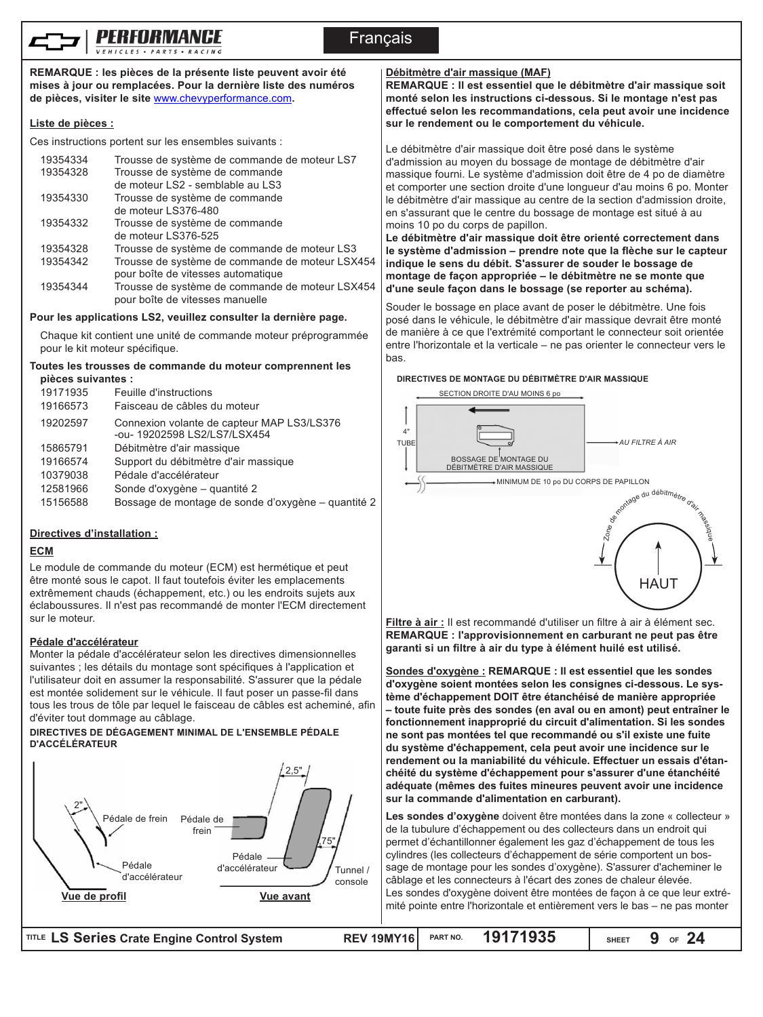

**REMARQUE : les pièces de la présente liste peuvent avoir été mises à jour ou remplacées. Pour la dernière liste des numéros de pièces, visiter le site** www.chevyperformance.com**.**

## **Liste de pièces :**

Ces instructions portent sur les ensembles suivants :

| 19354334 | Trousse de système de commande de moteur LS7    |
|----------|-------------------------------------------------|
| 19354328 | Trousse de système de commande                  |
|          | de moteur LS2 - semblable au LS3                |
| 19354330 | Trousse de système de commande                  |
|          | de moteur LS376-480                             |
| 19354332 | Trousse de système de commande                  |
|          | de moteur LS376-525                             |
| 19354328 | Trousse de système de commande de moteur LS3    |
| 19354342 | Trousse de système de commande de moteur LSX454 |
|          | pour boîte de vitesses automatique              |
| 19354344 | Trousse de système de commande de moteur LSX454 |
|          | pour boîte de vitesses manuelle                 |

### **Pour les applications LS2, veuillez consulter la dernière page.**

Chaque kit contient une unité de commande moteur préprogrammée pour le kit moteur spécifique.

# **Toutes les trousses de commande du moteur comprennent les**

| pièces suivantes : |                                                                            |
|--------------------|----------------------------------------------------------------------------|
| 19171935           | Feuille d'instructions                                                     |
| 19166573           | Faisceau de câbles du moteur                                               |
| 19202597           | Connexion volante de capteur MAP LS3/LS376<br>-ou- 19202598 LS2/LS7/LSX454 |
| 15865791           | Débitmètre d'air massique                                                  |
| 19166574           | Support du débitmètre d'air massique                                       |
| 10379038           | Pédale d'accélérateur                                                      |
| 12581966           | Sonde d'oxygène - quantité 2                                               |
| 15156588           | Bossage de montage de sonde d'oxygène – quantité 2                         |
|                    |                                                                            |

# **Directives d'installation :**

#### **ECM**

Le module de commande du moteur (ECM) est hermétique et peut être monté sous le capot. Il faut toutefois éviter les emplacements extrêmement chauds (échappement, etc.) ou les endroits sujets aux éclaboussures. Il n'est pas recommandé de monter l'ECM directement sur le moteur.

#### **Pédale d'accélérateur**

Monter la pédale d'accélérateur selon les directives dimensionnelles suivantes ; les détails du montage sont spécifiques à l'application et l'utilisateur doit en assumer la responsabilité. S'assurer que la pédale est montée solidement sur le véhicule. Il faut poser un passe-fil dans tous les trous de tôle par lequel le faisceau de câbles est acheminé, afin d'éviter tout dommage au câblage.

#### **DIRECTIVES DE DÉGAGEMENT MINIMAL DE L'ENSEMBLE PÉDALE D'ACCÉLÉRATEUR**



### **Débitmètre d'air massique (MAF)**

**REMARQUE : Il est essentiel que le débitmètre d'air massique soit monté selon les instructions ci-dessous. Si le montage n'est pas effectué selon les recommandations, cela peut avoir une incidence sur le rendement ou le comportement du véhicule.** 

Le débitmètre d'air massique doit être posé dans le système d'admission au moyen du bossage de montage de débitmètre d'air massique fourni. Le système d'admission doit être de 4 po de diamètre et comporter une section droite d'une longueur d'au moins 6 po. Monter le débitmètre d'air massique au centre de la section d'admission droite, en s'assurant que le centre du bossage de montage est situé à au moins 10 po du corps de papillon.

**Le débitmètre d'air massique doit être orienté correctement dans le système d'admission – prendre note que la flèche sur le capteur indique le sens du débit. S'assurer de souder le bossage de montage de façon appropriée – le débitmètre ne se monte que d'une seule façon dans le bossage (se reporter au schéma).**

Souder le bossage en place avant de poser le débitmètre. Une fois posé dans le véhicule, le débitmètre d'air massique devrait être monté de manière à ce que l'extrémité comportant le connecteur soit orientée entre l'horizontale et la verticale – ne pas orienter le connecteur vers le bas.

#### **DIRECTIVES DE MONTAGE DU DÉBITMÈTRE D'AIR MASSIQUE**



**Filtre à air :** Il est recommandé d'utiliser un filtre à air à élément sec. **REMARQUE : l'approvisionnement en carburant ne peut pas être garanti si un filtre à air du type à élément huilé est utilisé.**

**Sondes d'oxygène : REMARQUE : Il est essentiel que les sondes d'oxygène soient montées selon les consignes ci-dessous. Le système d'échappement DOIT être étanchéisé de manière appropriée – toute fuite près des sondes (en aval ou en amont) peut entraîner le fonctionnement inapproprié du circuit d'alimentation. Si les sondes ne sont pas montées tel que recommandé ou s'il existe une fuite du système d'échappement, cela peut avoir une incidence sur le rendement ou la maniabilité du véhicule. Effectuer un essais d'étanchéité du système d'échappement pour s'assurer d'une étanchéité adéquate (mêmes des fuites mineures peuvent avoir une incidence sur la commande d'alimentation en carburant).**

**Les sondes d'oxygène** doivent être montées dans la zone « collecteur » de la tubulure d'échappement ou des collecteurs dans un endroit qui permet d'échantillonner également les gaz d'échappement de tous les cylindres (les collecteurs d'échappement de série comportent un bossage de montage pour les sondes d'oxygène). S'assurer d'acheminer le câblage et les connecteurs à l'écart des zones de chaleur élevée. Les sondes d'oxygène doivent être montées de façon à ce que leur extrémité pointe entre l'horizontale et entièrement vers le bas – ne pas monter

| TITLE LS Series Crate Engine Control System | REV 19MY16 PART NO. $19171935$ | SHEET $9$ of $24$ |
|---------------------------------------------|--------------------------------|-------------------|
|                                             |                                |                   |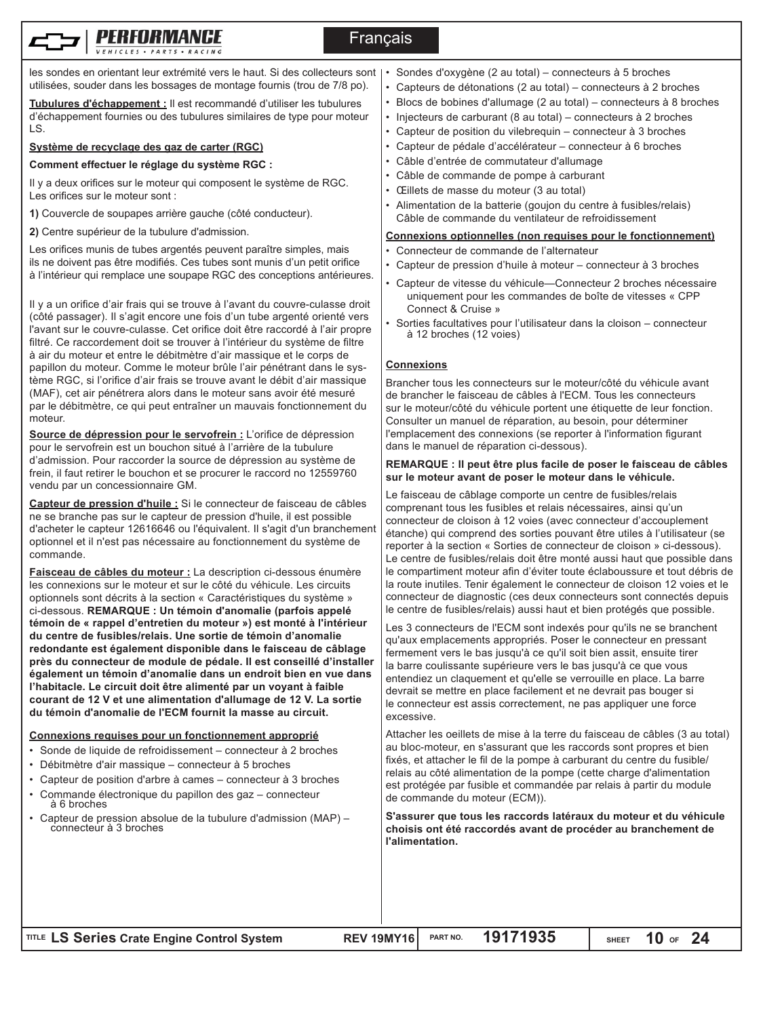

# **Francais**

les sondes en orientant leur extrémité vers le haut. Si des collecteurs sont | utilisées, souder dans les bossages de montage fournis (trou de 7/8 po).

**Tubulures d'échappement :** Il est recommandé d'utiliser les tubulures d'échappement fournies ou des tubulures similaires de type pour moteur LS.

## **Système de recyclage des gaz de carter (RGC)**

#### **Comment effectuer le réglage du système RGC :**

Il y a deux orifices sur le moteur qui composent le système de RGC. Les orifices sur le moteur sont :

**1)** Couvercle de soupapes arrière gauche (côté conducteur).

**2)** Centre supérieur de la tubulure d'admission.

Les orifices munis de tubes argentés peuvent paraître simples, mais ils ne doivent pas être modifiés. Ces tubes sont munis d'un petit orifice à l'intérieur qui remplace une soupape RGC des conceptions antérieures.

Il y a un orifice d'air frais qui se trouve à l'avant du couvre-culasse droit (côté passager). Il s'agit encore une fois d'un tube argenté orienté vers l'avant sur le couvre-culasse. Cet orifice doit être raccordé à l'air propre filtré. Ce raccordement doit se trouver à l'intérieur du système de filtre à air du moteur et entre le débitmètre d'air massique et le corps de papillon du moteur. Comme le moteur brûle l'air pénétrant dans le système RGC, si l'orifice d'air frais se trouve avant le débit d'air massique (MAF), cet air pénétrera alors dans le moteur sans avoir été mesuré par le débitmètre, ce qui peut entraîner un mauvais fonctionnement du moteur.

**Source de dépression pour le servofrein :** L'orifice de dépression pour le servofrein est un bouchon situé à l'arrière de la tubulure d'admission. Pour raccorder la source de dépression au système de frein, il faut retirer le bouchon et se procurer le raccord no 12559760 vendu par un concessionnaire GM.

**Capteur de pression d'huile :** Si le connecteur de faisceau de câbles ne se branche pas sur le capteur de pression d'huile, il est possible d'acheter le capteur 12616646 ou l'équivalent. Il s'agit d'un branchement optionnel et il n'est pas nécessaire au fonctionnement du système de commande.

**Faisceau de câbles du moteur :** La description ci-dessous énumère les connexions sur le moteur et sur le côté du véhicule. Les circuits optionnels sont décrits à la section « Caractéristiques du système » ci-dessous. **REMARQUE : Un témoin d'anomalie (parfois appelé témoin de « rappel d'entretien du moteur ») est monté à l'intérieur du centre de fusibles/relais. Une sortie de témoin d'anomalie redondante est également disponible dans le faisceau de câblage près du connecteur de module de pédale. Il est conseillé d'installer également un témoin d'anomalie dans un endroit bien en vue dans l'habitacle. Le circuit doit être alimenté par un voyant à faible courant de 12 V et une alimentation d'allumage de 12 V. La sortie du témoin d'anomalie de l'ECM fournit la masse au circuit.**

# **Connexions requises pour un fonctionnement approprié**

- Sonde de liquide de refroidissement connecteur à 2 broches
- Débitmètre d'air massique connecteur à 5 broches
- Capteur de position d'arbre à cames connecteur à 3 broches
- Commande électronique du papillon des gaz connecteur <sup>à</sup> <sup>6</sup> broches
- Capteur de pression absolue de la tubulure d'admission (MAP) connecteur à 3 broches
- Sondes d'oxygène (2 au total) connecteurs à 5 broches
- Capteurs de détonations (2 au total) connecteurs à 2 broches
- Blocs de bobines d'allumage (2 au total) connecteurs à 8 broches
- Injecteurs de carburant (8 au total) connecteurs à 2 broches
- Capteur de position du vilebrequin connecteur à 3 broches
- Capteur de pédale d'accélérateur connecteur à 6 broches
- Câble d'entrée de commutateur d'allumage
- Câble de commande de pompe à carburant
- Œillets de masse du moteur (3 au total)
- Alimentation de la batterie (goujon du centre à fusibles/relais) Câble de commande du ventilateur de refroidissement

## **Connexions optionnelles (non requises pour le fonctionnement)**

- Connecteur de commande de l'alternateur
- Capteur de pression d'huile à moteur connecteur à 3 broches
- Capteur de vitesse du véhicule—Connecteur 2 broches nécessaire uniquement pour les commandes de boîte de vitesses « CPP Connect & Cruise »
- Sorties facultatives pour l'utilisateur dans la cloison connecteur à 12 broches (12 voies)

# **Connexions**

Brancher tous les connecteurs sur le moteur/côté du véhicule avant de brancher le faisceau de câbles à l'ECM. Tous les connecteurs sur le moteur/côté du véhicule portent une étiquette de leur fonction. Consulter un manuel de réparation, au besoin, pour déterminer l'emplacement des connexions (se reporter à l'information figurant dans le manuel de réparation ci-dessous).

#### **REMARQUE : Il peut être plus facile de poser le faisceau de câbles sur le moteur avant de poser le moteur dans le véhicule.**

Le faisceau de câblage comporte un centre de fusibles/relais comprenant tous les fusibles et relais nécessaires, ainsi qu'un connecteur de cloison à 12 voies (avec connecteur d'accouplement étanche) qui comprend des sorties pouvant être utiles à l'utilisateur (se reporter à la section « Sorties de connecteur de cloison » ci-dessous). Le centre de fusibles/relais doit être monté aussi haut que possible dans le compartiment moteur afin d'éviter toute éclaboussure et tout débris de la route inutiles. Tenir également le connecteur de cloison 12 voies et le connecteur de diagnostic (ces deux connecteurs sont connectés depuis le centre de fusibles/relais) aussi haut et bien protégés que possible.

Les 3 connecteurs de l'ECM sont indexés pour qu'ils ne se branchent qu'aux emplacements appropriés. Poser le connecteur en pressant fermement vers le bas jusqu'à ce qu'il soit bien assit, ensuite tirer la barre coulissante supérieure vers le bas jusqu'à ce que vous entendiez un claquement et qu'elle se verrouille en place. La barre devrait se mettre en place facilement et ne devrait pas bouger si le connecteur est assis correctement, ne pas appliquer une force excessive.

Attacher les oeillets de mise à la terre du faisceau de câbles (3 au total) au bloc-moteur, en s'assurant que les raccords sont propres et bien fixés, et attacher le fil de la pompe à carburant du centre du fusible/ relais au côté alimentation de la pompe (cette charge d'alimentation est protégée par fusible et commandée par relais à partir du module de commande du moteur (ECM)).

**S'assurer que tous les raccords latéraux du moteur et du véhicule choisis ont été raccordés avant de procéder au branchement de l'alimentation.**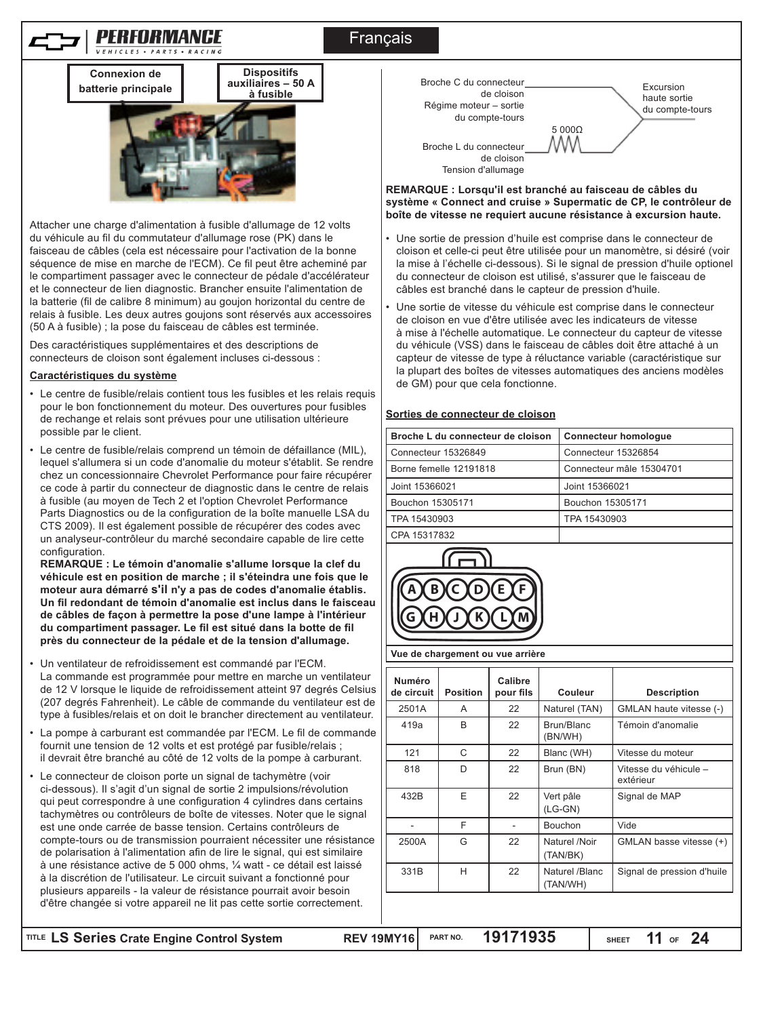# Français





Attacher une charge d'alimentation à fusible d'allumage de 12 volts du véhicule au fil du commutateur d'allumage rose (PK) dans le faisceau de câbles (cela est nécessaire pour l'activation de la bonne séquence de mise en marche de l'ECM). Ce fil peut être acheminé par le compartiment passager avec le connecteur de pédale d'accélérateur et le connecteur de lien diagnostic. Brancher ensuite l'alimentation de la batterie (fil de calibre 8 minimum) au goujon horizontal du centre de relais à fusible. Les deux autres goujons sont réservés aux accessoires (50 A à fusible) ; la pose du faisceau de câbles est terminée.

Des caractéristiques supplémentaires et des descriptions de connecteurs de cloison sont également incluses ci-dessous :

#### **Caractéristiques du système**

- Le centre de fusible/relais contient tous les fusibles et les relais requis pour le bon fonctionnement du moteur. Des ouvertures pour fusibles de rechange et relais sont prévues pour une utilisation ultérieure possible par le client.
- Le centre de fusible/relais comprend un témoin de défaillance (MIL), lequel s'allumera si un code d'anomalie du moteur s'établit. Se rendre chez un concessionnaire Chevrolet Performance pour faire récupérer ce code à partir du connecteur de diagnostic dans le centre de relais à fusible (au moyen de Tech 2 et l'option Chevrolet Performance Parts Diagnostics ou de la configuration de la boîte manuelle LSA du CTS 2009). Il est également possible de récupérer des codes avec un analyseur-contrôleur du marché secondaire capable de lire cette configuration.

**REMARQUE : Le témoin d'anomalie s'allume lorsque la clef du véhicule est en position de marche ; il s'éteindra une fois que le moteur aura démarré s'il n'y a pas de codes d'anomalie établis. Un fil redondant de témoin d'anomalie est inclus dans le faisceau de câbles de façon à permettre la pose d'une lampe à l'intérieur du compartiment passager. Le fil est situé dans la botte de fil près du connecteur de la pédale et de la tension d'allumage.**

- Un ventilateur de refroidissement est commandé par l'ECM. La commande est programmée pour mettre en marche un ventilateur de 12 V lorsque le liquide de refroidissement atteint 97 degrés Celsius (207 degrés Fahrenheit). Le câble de commande du ventilateur est de type à fusibles/relais et on doit le brancher directement au ventilateur.
- La pompe à carburant est commandée par l'ECM. Le fil de commande fournit une tension de 12 volts et est protégé par fusible/relais ; il devrait être branché au côté de 12 volts de la pompe à carburant.
- Le connecteur de cloison porte un signal de tachymètre (voir ci-dessous). Il s'agit d'un signal de sortie 2 impulsions/révolution qui peut correspondre à une configuration 4 cylindres dans certains tachymètres ou contrôleurs de boîte de vitesses. Noter que le signal est une onde carrée de basse tension. Certains contrôleurs de compte-tours ou de transmission pourraient nécessiter une résistance de polarisation à l'alimentation afin de lire le signal, qui est similaire à une résistance active de 5 000 ohms, ¼ watt - ce détail est laissé à la discrétion de l'utilisateur. Le circuit suivant a fonctionné pour plusieurs appareils - la valeur de résistance pourrait avoir besoin d'être changée si votre appareil ne lit pas cette sortie correctement.



**REMARQUE : Lorsqu'il est branché au faisceau de câbles du système « Connect and cruise » Supermatic de CP, le contrôleur de boîte de vitesse ne requiert aucune résistance à excursion haute.**

- Une sortie de pression d'huile est comprise dans le connecteur de cloison et celle-ci peut être utilisée pour un manomètre, si désiré (voir la mise à l'échelle ci-dessous). Si le signal de pression d'huile optionel du connecteur de cloison est utilisé, s'assurer que le faisceau de câbles est branché dans le capteur de pression d'huile.
- Une sortie de vitesse du véhicule est comprise dans le connecteur de cloison en vue d'être utilisée avec les indicateurs de vitesse à mise à l'échelle automatique. Le connecteur du capteur de vitesse du véhicule (VSS) dans le faisceau de câbles doit être attaché à un capteur de vitesse de type à réluctance variable (caractéristique sur la plupart des boîtes de vitesses automatiques des anciens modèles de GM) pour que cela fonctionne.

#### **Sorties de connecteur de cloison**

| Broche L du connecteur de cloison | <b>Connecteur homologue</b> |
|-----------------------------------|-----------------------------|
| Connecteur 15326849               | Connecteur 15326854         |
| Borne femelle 12191818            | Connecteur mâle 15304701    |
| Joint 15366021                    | Joint 15366021              |
| Bouchon 15305171                  | Bouchon 15305171            |
| TPA 15430903                      | TPA 15430903                |
| CPA 15317832                      |                             |
|                                   |                             |



**Vue de chargement ou vue arrière**

| 2501A<br>419a | A            | 22 |                            |                                    |
|---------------|--------------|----|----------------------------|------------------------------------|
|               |              |    | Naturel (TAN)              | GMLAN haute vitesse (-)            |
|               | <sub>B</sub> | 22 | Brun/Blanc<br>(BN/WH)      | Témoin d'anomalie                  |
| 121           | C            | 22 | Blanc (WH)                 | Vitesse du moteur                  |
| 818           | D            | 22 | Brun (BN)                  | Vitesse du véhicule -<br>extérieur |
| 432B          | E            | 22 | Vert pâle<br>$(LG-GN)$     | Signal de MAP                      |
|               | F            |    | <b>Bouchon</b>             | Vide                               |
| 2500A         | G            | 22 | Naturel /Noir<br>(TAN/BK)  | GMLAN basse vitesse (+)            |
| 331B          | H            | 22 | Naturel /Blanc<br>(TAN/WH) | Signal de pression d'huile         |

**IITLE LS Series Crate Engine Control System <b>REV 19MY16** PART NO. **19171935** 

**SHEET OF 11 24**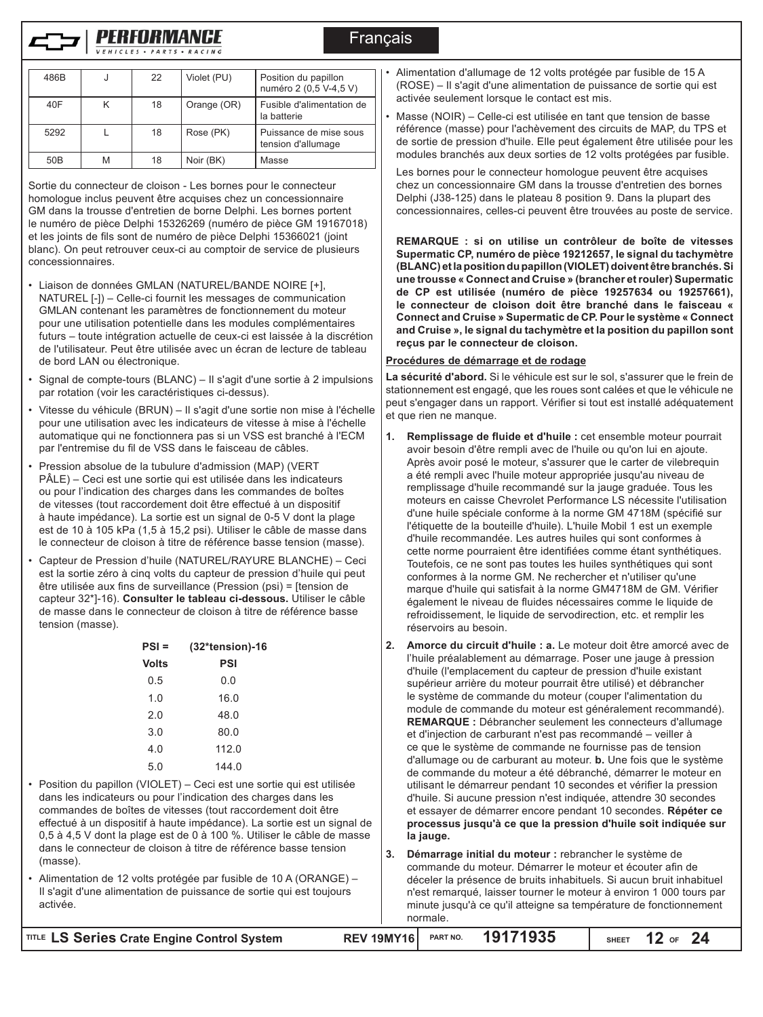

| 486B            |   | 22 | Violet (PU) | Position du papillon<br>numéro 2 (0,5 V-4,5 V) |
|-----------------|---|----|-------------|------------------------------------------------|
| 40F             |   | 18 | Orange (OR) | Fusible d'alimentation de<br>la batterie       |
| 5292            |   | 18 | Rose (PK)   | Puissance de mise sous<br>tension d'allumage   |
| 50 <sub>B</sub> | M | 18 | Noir (BK)   | Masse                                          |

Sortie du connecteur de cloison - Les bornes pour le connecteur homologue inclus peuvent être acquises chez un concessionnaire GM dans la trousse d'entretien de borne Delphi. Les bornes portent le numéro de pièce Delphi 15326269 (numéro de pièce GM 19167018) et les joints de fils sont de numéro de pièce Delphi 15366021 (joint blanc). On peut retrouver ceux-ci au comptoir de service de plusieurs concessionnaires.

- Liaison de données GMLAN (NATUREL/BANDE NOIRE [+], NATUREL [-]) – Celle-ci fournit les messages de communication GMLAN contenant les paramètres de fonctionnement du moteur pour une utilisation potentielle dans les modules complémentaires futurs – toute intégration actuelle de ceux-ci est laissée à la discrétion de l'utilisateur. Peut être utilisée avec un écran de lecture de tableau de bord LAN ou électronique.
- Signal de compte-tours (BLANC) Il s'agit d'une sortie à 2 impulsions par rotation (voir les caractéristiques ci-dessus).
- Vitesse du véhicule (BRUN) Il s'agit d'une sortie non mise à l'échelle pour une utilisation avec les indicateurs de vitesse à mise à l'échelle automatique qui ne fonctionnera pas si un VSS est branché à l'ECM par l'entremise du fil de VSS dans le faisceau de câbles.
- Pression absolue de la tubulure d'admission (MAP) (VERT PÂLE) – Ceci est une sortie qui est utilisée dans les indicateurs ou pour l'indication des charges dans les commandes de boîtes de vitesses (tout raccordement doit être effectué à un dispositif à haute impédance). La sortie est un signal de 0-5 V dont la plage est de 10 à 105 kPa (1,5 à 15,2 psi). Utiliser le câble de masse dans le connecteur de cloison à titre de référence basse tension (masse).
- Capteur de Pression d'huile (NATUREL/RAYURE BLANCHE) Ceci est la sortie zéro à cinq volts du capteur de pression d'huile qui peut être utilisée aux fins de surveillance (Pression (psi) = [tension de capteur 32\*]-16). **Consulter le tableau ci-dessous.** Utiliser le câble de masse dans le connecteur de cloison à titre de référence basse tension (masse).

| PSI =        | $(32*tension)-16$ |  |  |
|--------------|-------------------|--|--|
| <b>Volts</b> | PSI               |  |  |
| 0.5          | 0.0               |  |  |
| 1.0          | 16.0              |  |  |
| 2.0          | 48.0              |  |  |
| 3.0          | 80.0              |  |  |
| 4.0          | 112.0             |  |  |
| 5.0          | 144.0             |  |  |

• Position du papillon (VIOLET) – Ceci est une sortie qui est utilisée dans les indicateurs ou pour l'indication des charges dans les commandes de boîtes de vitesses (tout raccordement doit être effectué à un dispositif à haute impédance). La sortie est un signal de 0,5 à 4,5 V dont la plage est de 0 à 100 %. Utiliser le câble de masse dans le connecteur de cloison à titre de référence basse tension (masse).

• Alimentation de 12 volts protégée par fusible de 10 A (ORANGE) – Il s'agit d'une alimentation de puissance de sortie qui est toujours activée.

• Alimentation d'allumage de 12 volts protégée par fusible de 15 A (ROSE) – Il s'agit d'une alimentation de puissance de sortie qui est activée seulement lorsque le contact est mis.

• Masse (NOIR) – Celle-ci est utilisée en tant que tension de basse référence (masse) pour l'achèvement des circuits de MAP, du TPS et de sortie de pression d'huile. Elle peut également être utilisée pour les modules branchés aux deux sorties de 12 volts protégées par fusible.

Les bornes pour le connecteur homologue peuvent être acquises chez un concessionnaire GM dans la trousse d'entretien des bornes Delphi (J38-125) dans le plateau 8 position 9. Dans la plupart des concessionnaires, celles-ci peuvent être trouvées au poste de service.

**REMARQUE : si on utilise un contrôleur de boîte de vitesses Supermatic CP, numéro de pièce 19212657, le signal du tachymètre (BLANC) et la position du papillon (VIOLET) doivent être branchés. Si une trousse « Connect and Cruise » (brancher et rouler) Supermatic de CP est utilisée (numéro de pièce 19257634 ou 19257661), le connecteur de cloison doit être branché dans le faisceau « Connect and Cruise » Supermatic de CP. Pour le système « Connect and Cruise », le signal du tachymètre et la position du papillon sont reçus par le connecteur de cloison.**

#### **Procédures de démarrage et de rodage**

**Francais** 

**La sécurité d'abord.** Si le véhicule est sur le sol, s'assurer que le frein de stationnement est engagé, que les roues sont calées et que le véhicule ne peut s'engager dans un rapport. Vérifier si tout est installé adéquatement et que rien ne manque.

- **1. Remplissage de fluide et d'huile :** cet ensemble moteur pourrait avoir besoin d'être rempli avec de l'huile ou qu'on lui en ajoute. Après avoir posé le moteur, s'assurer que le carter de vilebrequin a été rempli avec l'huile moteur appropriée jusqu'au niveau de remplissage d'huile recommandé sur la jauge graduée. Tous les moteurs en caisse Chevrolet Performance LS nécessite l'utilisation d'une huile spéciale conforme à la norme GM 4718M (spécifié sur l'étiquette de la bouteille d'huile). L'huile Mobil 1 est un exemple d'huile recommandée. Les autres huiles qui sont conformes à cette norme pourraient être identifiées comme étant synthétiques. Toutefois, ce ne sont pas toutes les huiles synthétiques qui sont conformes à la norme GM. Ne rechercher et n'utiliser qu'une marque d'huile qui satisfait à la norme GM4718M de GM. Vérifier également le niveau de fluides nécessaires comme le liquide de refroidissement, le liquide de servodirection, etc. et remplir les réservoirs au besoin.
- **2. Amorce du circuit d'huile : a.** Le moteur doit être amorcé avec de l'huile préalablement au démarrage. Poser une jauge à pression d'huile (l'emplacement du capteur de pression d'huile existant supérieur arrière du moteur pourrait être utilisé) et débrancher le système de commande du moteur (couper l'alimentation du module de commande du moteur est généralement recommandé). **REMARQUE :** Débrancher seulement les connecteurs d'allumage et d'injection de carburant n'est pas recommandé – veiller à ce que le système de commande ne fournisse pas de tension d'allumage ou de carburant au moteur. **b.** Une fois que le système de commande du moteur a été débranché, démarrer le moteur en utilisant le démarreur pendant 10 secondes et vérifier la pression d'huile. Si aucune pression n'est indiquée, attendre 30 secondes et essayer de démarrer encore pendant 10 secondes. **Répéter ce processus jusqu'à ce que la pression d'huile soit indiquée sur la jauge.**
- **3. Démarrage initial du moteur :** rebrancher le système de commande du moteur. Démarrer le moteur et écouter afin de déceler la présence de bruits inhabituels. Si aucun bruit inhabituel n'est remarqué, laisser tourner le moteur à environ 1 000 tours par minute jusqu'à ce qu'il atteigne sa température de fonctionnement normale.

| TITLE LS Series Crate Engine Control System |  | REV 19MY16 PART NO. 19171935 | SHEET $12$ of $24$ |  |
|---------------------------------------------|--|------------------------------|--------------------|--|
|                                             |  |                              |                    |  |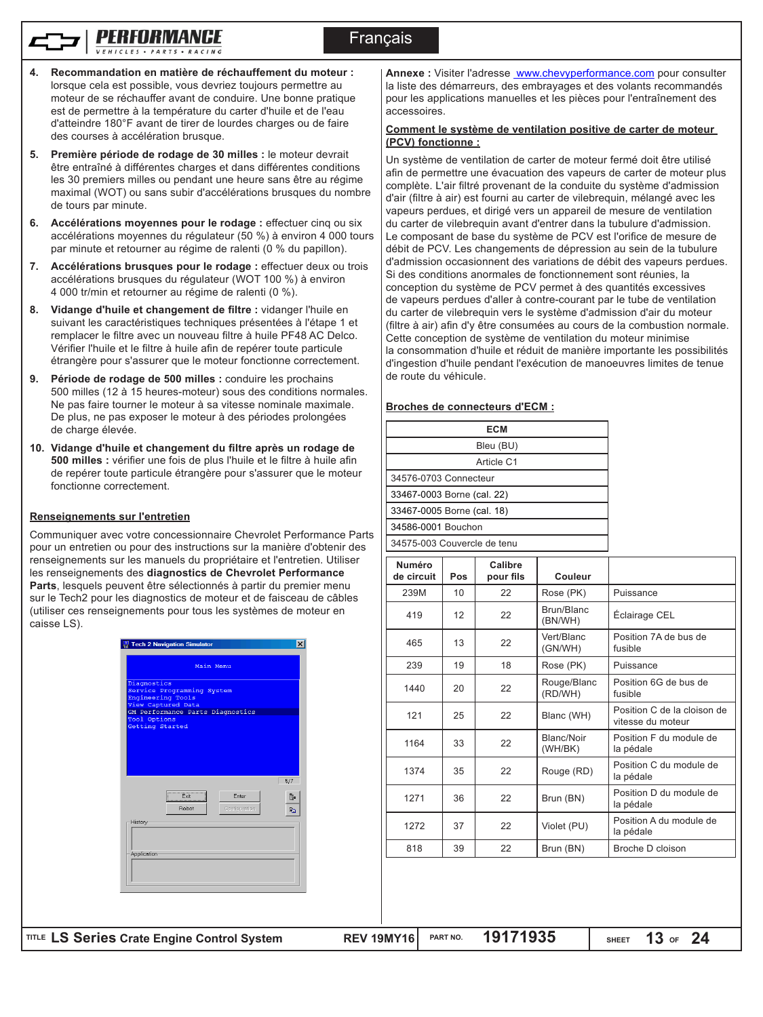# **Francais**

- 
- **4. Recommandation en matière de réchauffement du moteur :** lorsque cela est possible, vous devriez toujours permettre au moteur de se réchauffer avant de conduire. Une bonne pratique est de permettre à la température du carter d'huile et de l'eau d'atteindre 180°F avant de tirer de lourdes charges ou de faire des courses à accélération brusque.
- **5. Première période de rodage de 30 milles :** le moteur devrait être entraîné à différentes charges et dans différentes conditions les 30 premiers milles ou pendant une heure sans être au régime maximal (WOT) ou sans subir d'accélérations brusques du nombre de tours par minute.
- **6. Accélérations moyennes pour le rodage :** effectuer cinq ou six accélérations moyennes du régulateur (50 %) à environ 4 000 tours par minute et retourner au régime de ralenti (0 % du papillon).
- **7. Accélérations brusques pour le rodage :** effectuer deux ou trois accélérations brusques du régulateur (WOT 100 %) à environ 4 000 tr/min et retourner au régime de ralenti (0 %).
- **8. Vidange d'huile et changement de filtre :** vidanger l'huile en suivant les caractéristiques techniques présentées à l'étape 1 et remplacer le filtre avec un nouveau filtre à huile PF48 AC Delco. Vérifier l'huile et le filtre à huile afin de repérer toute particule étrangère pour s'assurer que le moteur fonctionne correctement.
- **9. Période de rodage de 500 milles :** conduire les prochains 500 milles (12 à 15 heures-moteur) sous des conditions normales. Ne pas faire tourner le moteur à sa vitesse nominale maximale. De plus, ne pas exposer le moteur à des périodes prolongées de charge élevée.
- **10. Vidange d'huile et changement du filtre après un rodage de 500 milles :** vérifier une fois de plus l'huile et le filtre à huile afin de repérer toute particule étrangère pour s'assurer que le moteur fonctionne correctement.

# **Renseignements sur l'entretien**

Communiquer avec votre concessionnaire Chevrolet Performance Parts pour un entretien ou pour des instructions sur la manière d'obtenir des renseignements sur les manuels du propriétaire et l'entretien. Utiliser les renseignements des **diagnostics de Chevrolet Performance Parts**, lesquels peuvent être sélectionnés à partir du premier menu sur le Tech2 pour les diagnostics de moteur et de faisceau de câbles (utiliser ces renseignements pour tous les systèmes de moteur en caisse LS).



Annexe : Visiter l'adresse www.chevyperformance.com pour consulter la liste des démarreurs, des embrayages et des volants recommandés pour les applications manuelles et les pièces pour l'entraînement des accessoires.

#### **Comment le système de ventilation positive de carter de moteur (PCV) fonctionne :**

Un système de ventilation de carter de moteur fermé doit être utilisé afin de permettre une évacuation des vapeurs de carter de moteur plus complète. L'air filtré provenant de la conduite du système d'admission d'air (filtre à air) est fourni au carter de vilebrequin, mélangé avec les vapeurs perdues, et dirigé vers un appareil de mesure de ventilation du carter de vilebrequin avant d'entrer dans la tubulure d'admission. Le composant de base du système de PCV est l'orifice de mesure de débit de PCV. Les changements de dépression au sein de la tubulure d'admission occasionnent des variations de débit des vapeurs perdues. Si des conditions anormales de fonctionnement sont réunies, la conception du système de PCV permet à des quantités excessives de vapeurs perdues d'aller à contre-courant par le tube de ventilation du carter de vilebrequin vers le système d'admission d'air du moteur (filtre à air) afin d'y être consumées au cours de la combustion normale. Cette conception de système de ventilation du moteur minimise la consommation d'huile et réduit de manière importante les possibilités d'ingestion d'huile pendant l'exécution de manoeuvres limites de tenue de route du véhicule.

#### **Broches de connecteurs d'ECM :**

| ECM                         |  |
|-----------------------------|--|
| Bleu (BU)                   |  |
| Article C1                  |  |
| 34576-0703 Connecteur       |  |
| 33467-0003 Borne (cal. 22)  |  |
| 33467-0005 Borne (cal. 18)  |  |
| 34586-0001 Bouchon          |  |
| 34575-003 Couvercle de tenu |  |
|                             |  |

| <b>Numéro</b><br>de circuit | Pos | Calibre<br>pour fils | <b>Couleur</b>                         |                                                  |
|-----------------------------|-----|----------------------|----------------------------------------|--------------------------------------------------|
| 239M                        | 10  | 22                   | Rose (PK)                              | Puissance                                        |
| 419                         | 12  | 22                   | Brun/Blanc<br>Éclairage CEL<br>(BN/WH) |                                                  |
| 465                         | 13  | 22                   | Vert/Blanc<br>(GN/WH)                  | Position 7A de bus de<br>fusible                 |
| 239                         | 19  | 18                   | Rose (PK)                              | Puissance                                        |
| 1440                        | 20  | 22                   | Rouge/Blanc<br>(RD/WH)                 | Position 6G de bus de<br>fusible                 |
| 121                         | 25  | 22                   | Blanc (WH)                             | Position C de la cloison de<br>vitesse du moteur |
| 1164                        | 33  | 22                   | Blanc/Noir<br>(WH/BK)                  | Position F du module de<br>la pédale             |
| 1374                        | 35  | 22                   | Rouge (RD)                             | Position C du module de<br>la pédale             |
| 1271                        | 36  | 22                   | Brun (BN)                              | Position D du module de<br>la pédale             |
| 1272                        | 37  | 22                   | Violet (PU)                            | Position A du module de<br>la pédale             |
| 818                         | 39  | 22                   | Brun (BN)                              | Broche D cloison                                 |
|                             |     |                      |                                        |                                                  |

**LS Series Crate Engine Control System REV 19MY16 TITLE PART NO. 19171935**

**SHEET OF 13 24**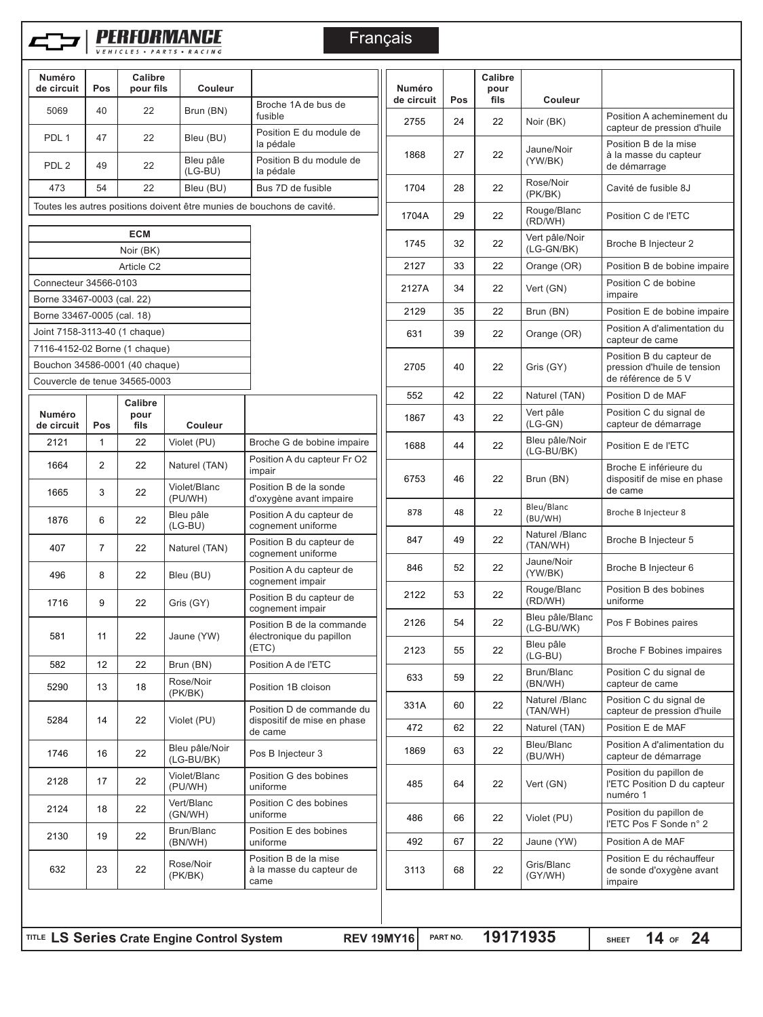

# **PERFORMANCE**

**Français** 

| Numéro<br>de circuit                                            | Pos            | Calibre<br>pour fils                | Couleur                      |                                                                        | <b>Numéro</b><br>de circuit | Pos | Calibre<br>pour<br>fils | Co                 |
|-----------------------------------------------------------------|----------------|-------------------------------------|------------------------------|------------------------------------------------------------------------|-----------------------------|-----|-------------------------|--------------------|
| 5069                                                            | 40             | 22                                  | Brun (BN)                    | Broche 1A de bus de<br>fusible                                         | 2755                        | 24  | 22                      | Noir (B            |
| PDL 1                                                           | 47             | 22                                  | Bleu (BU)                    | Position E du module de<br>la pédale                                   | 1868                        | 27  | 22                      | Jaune/             |
| PDL <sub>2</sub>                                                | 49             | 22                                  | Bleu pâle<br>$(LG-BU)$       | Position B du module de<br>la pédale                                   |                             |     |                         | (YW/BI<br>Rose/N   |
| 473                                                             | 54             | 22                                  | Bleu (BU)                    | Bus 7D de fusible                                                      | 1704                        | 28  | 22                      | (PK/BK             |
|                                                                 |                |                                     |                              | Toutes les autres positions doivent être munies de bouchons de cavité. | 1704A                       | 29  | 22                      | Rouge.<br>(RD/W    |
|                                                                 |                | <b>ECM</b>                          |                              |                                                                        | 1745                        | 32  | 22                      | Vert pâ            |
|                                                                 |                | Noir (BK)<br>Article C <sub>2</sub> |                              |                                                                        | 2127                        | 33  | 22                      | $(LG-G)$<br>Orange |
| Connecteur 34566-0103                                           |                |                                     |                              |                                                                        |                             |     |                         |                    |
| Borne 33467-0003 (cal. 22)                                      |                |                                     |                              |                                                                        | 2127A                       | 34  | 22                      | Vert (G            |
| Borne 33467-0005 (cal. 18)                                      |                |                                     |                              |                                                                        | 2129                        | 35  | 22                      | Brun (E            |
| Joint 7158-3113-40 (1 chaque)                                   |                |                                     |                              |                                                                        | 631                         | 39  | 22                      | Orange             |
| 7116-4152-02 Borne (1 chaque)                                   |                |                                     |                              |                                                                        |                             |     |                         |                    |
| Bouchon 34586-0001 (40 chaque)<br>Couvercle de tenue 34565-0003 |                |                                     |                              |                                                                        | 2705                        | 40  | 22                      | Gris (G            |
|                                                                 |                |                                     |                              |                                                                        | 552                         | 42  | 22                      | Nature             |
| <b>Numéro</b><br>de circuit                                     | Pos            | Calibre<br>pour<br>fils             | Couleur                      |                                                                        | 1867                        | 43  | 22                      | Vert pâ<br>(LG-GI  |
| 2121                                                            | $\mathbf{1}$   | 22                                  | Violet (PU)                  | Broche G de bobine impaire                                             | 1688                        | 44  | 22                      | Bleu pa<br>(LG-Bl  |
| 1664                                                            | $\mathbf{2}$   | 22                                  | Naturel (TAN)                | Position A du capteur Fr O2<br>impair                                  | 6753                        | 46  | 22                      | Brun (E            |
| 1665                                                            | 3              | 22                                  | Violet/Blanc<br>(PU/WH)      | Position B de la sonde<br>d'oxygène avant impaire                      |                             |     |                         | Bleu/Bl            |
| 1876                                                            | 6              | 22                                  | Bleu pâle<br>$(LG-BU)$       | Position A du capteur de<br>cognement uniforme                         | 878                         | 48  | 22                      | (BU/WI<br>Nature   |
| 407                                                             | $\overline{7}$ | 22                                  | Naturel (TAN)                | Position B du capteur de<br>cognement uniforme                         | 847                         | 49  | 22                      | (TAN/V             |
| 496                                                             | 8              | 22                                  | Bleu (BU)                    | Position A du capteur de<br>cognement impair                           | 846                         | 52  | 22                      | Jaune/<br>(YW/BI   |
| 1716                                                            | 9              | 22                                  | Gris (GY)                    | Position B du capteur de<br>cognement impair                           | 2122                        | 53  | 22                      | Rouge<br>(RD/W     |
| 581                                                             | 11             | 22                                  | Jaune (YW)                   | Position B de la commande<br>électronique du papillon                  | 2126                        | 54  | 22                      | Bleu pa<br>(LG-Bl  |
|                                                                 |                |                                     |                              | (ETC)                                                                  | 2123                        | 55  | 22                      | Bleu pa<br>(LG-Bl  |
| 582<br>5290                                                     | 12<br>13       | 22<br>18                            | Brun (BN)<br>Rose/Noir       | Position A de l'ETC<br>Position 1B cloison                             | 633                         | 59  | 22                      | Brun/B<br>(BN/W    |
| 5284                                                            | 14             | 22                                  | (PK/BK)<br>Violet (PU)       | Position D de commande du                                              | 331A                        | 60  | 22                      | Nature<br>(TAN/V   |
|                                                                 |                |                                     |                              | dispositif de mise en phase<br>de came                                 | 472                         | 62  | 22                      | Nature             |
| 1746                                                            | 16             | 22                                  | Bleu pâle/Noir<br>(LG-BU/BK) | Pos B Injecteur 3                                                      | 1869                        | 63  | 22                      | Bleu/B<br>(BU/W    |
|                                                                 | 17             | 22                                  | Violet/Blanc<br>(PU/WH)      | Position G des bobines<br>uniforme                                     | 485                         | 64  | 22                      | Vert (G            |
| 2128                                                            |                |                                     | Vert/Blanc<br>(GN/WH)        | Position C des bobines<br>uniforme                                     | 486                         | 66  | 22                      | Violet (           |
| 2124                                                            | 18             | 22                                  |                              |                                                                        |                             |     |                         |                    |
| 2130                                                            | 19             | 22                                  | Brun/Blanc<br>(BN/WH)        | Position E des bobines<br>uniforme                                     | 492                         | 67  | 22                      | Jaune              |

| <b>Numéro</b> |          | Calibre<br>pour |                               |                                                                                |  |
|---------------|----------|-----------------|-------------------------------|--------------------------------------------------------------------------------|--|
| de circuit    | Pos      | fils            | <b>Couleur</b>                |                                                                                |  |
| 2755          | 24       | 22              | Noir (BK)                     | Position A acheminement du<br>capteur de pression d'huile                      |  |
| 1868          | 27       | 22              | Jaune/Noir<br>(YW/BK)         | Position B de la mise<br>à la masse du capteur<br>de démarrage                 |  |
| 1704          | 28       | 22              | Rose/Noir<br>(PK/BK)          | Cavité de fusible 8J                                                           |  |
| 1704A         | 29       | 22              | Rouge/Blanc<br>(RD/WH)        | Position C de l'ETC                                                            |  |
| 1745          | 32       | 22              | Vert pâle/Noir<br>(LG-GN/BK)  | Broche B Injecteur 2                                                           |  |
| 2127          | 33       | 22              | Orange (OR)                   | Position B de bobine impaire                                                   |  |
| 2127A         | 34       | 22              | Vert (GN)                     | Position C de bobine<br>impaire                                                |  |
| 2129          | 35       | 22              | Brun (BN)                     | Position E de bobine impaire                                                   |  |
| 631           | 39       | 22              | Orange (OR)                   | Position A d'alimentation du<br>capteur de came                                |  |
| 2705          | 40       | 22              | Gris (GY)                     | Position B du capteur de<br>pression d'huile de tension<br>de référence de 5 V |  |
| 552           | 42       | 22              | Naturel (TAN)                 | Position D de MAF                                                              |  |
| 1867          | 43       | 22              | Vert pâle<br>$(LG-GN)$        | Position C du signal de<br>capteur de démarrage                                |  |
| 1688          | 44       | 22              | Bleu pâle/Noir<br>(LG-BU/BK)  | Position E de l'ETC                                                            |  |
| 6753          | 46       | 22              | Brun (BN)                     | Broche E inférieure du<br>dispositif de mise en phase<br>de came               |  |
| 878           | 48       | 22              | Bleu/Blanc<br>(BU/WH)         | Broche B Injecteur 8                                                           |  |
| 847           | 49       | 22              | Naturel /Blanc<br>(TAN/WH)    | Broche B Injecteur 5                                                           |  |
| 846           | 52       | 22              | Jaune/Noir<br>(YW/BK)         | Broche B Injecteur 6                                                           |  |
| 2122          | 53       | 22              | Rouge/Blanc<br>(RD/WH)        | Position B des bobines<br>uniforme                                             |  |
| 2126          | 54       | 22              | Bleu pâle/Blanc<br>(LG-BU/WK) | Pos F Bobines paires                                                           |  |
| 2123          | 55       | 22              | Bleu pâle<br>$(LG-BU)$        | Broche F Bobines impaires                                                      |  |
| 633           | 59       | 22              | Brun/Blanc<br>(BN/WH)         | Position C du signal de<br>capteur de came                                     |  |
| 331A          | 60       | 22              | Naturel /Blanc<br>(TAN/WH)    | Position C du signal de<br>capteur de pression d'huile                         |  |
| 472           | 62       | 22              | Naturel (TAN)                 | Position E de MAF                                                              |  |
| 1869          | 63       | 22              | Bleu/Blanc<br>(BU/WH)         | Position A d'alimentation du<br>capteur de démarrage                           |  |
| 485           | 64       | 22              | Vert (GN)                     | Position du papillon de<br>l'ETC Position D du capteur<br>numéro 1             |  |
| 486           | 66       | 22              | Violet (PU)                   | Position du papillon de<br>l'ETC Pos F Sonde n° 2                              |  |
| 492           | 67       | 22              | Jaune (YW)                    | Position A de MAF                                                              |  |
| 3113          | 68       | 22              | Gris/Blanc<br>(GY/WH)         | Position E du réchauffeur<br>de sonde d'oxygène avant<br>impaire               |  |
|               |          |                 |                               |                                                                                |  |
| <b>AY16</b>   | PART NO. | 19171935        |                               | 14 or 24<br><b>SHEET</b>                                                       |  |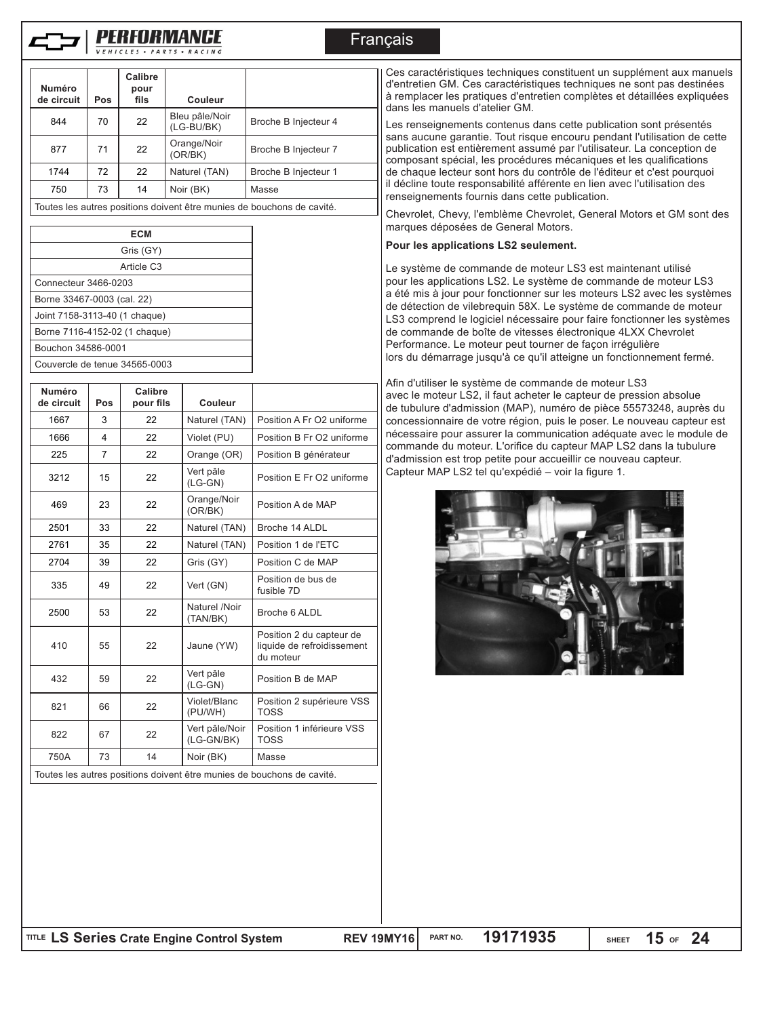

Couvercle de tenue 34565-0003

# Français

| <b>Numéro</b><br>de circuit   | Pos                        | Calibre<br>pour<br>fils | Couleur                      |                                                                        |  |  |  |
|-------------------------------|----------------------------|-------------------------|------------------------------|------------------------------------------------------------------------|--|--|--|
| 844                           | 70                         | 22                      | Bleu pâle/Noir<br>(LG-BU/BK) | Broche B Injecteur 4                                                   |  |  |  |
| 877                           | 71                         | 22                      | Orange/Noir<br>(OR/BK)       | Broche B Injecteur 7                                                   |  |  |  |
| 1744                          | 72                         | 22                      | Naturel (TAN)                | Broche B Injecteur 1                                                   |  |  |  |
| 750                           | 73                         | 14                      | Noir (BK)                    | Masse                                                                  |  |  |  |
|                               |                            |                         |                              | Toutes les autres positions doivent être munies de bouchons de cavité. |  |  |  |
|                               |                            |                         |                              |                                                                        |  |  |  |
|                               |                            | Gris (GY)               |                              |                                                                        |  |  |  |
|                               |                            | Article C <sub>3</sub>  |                              |                                                                        |  |  |  |
| Connecteur 3466-0203          |                            |                         |                              |                                                                        |  |  |  |
|                               | Borne 33467-0003 (cal. 22) |                         |                              |                                                                        |  |  |  |
| Joint 7158-3113-40 (1 chaque) |                            |                         |                              |                                                                        |  |  |  |
| Borne 7116-4152-02 (1 chaque) |                            |                         |                              |                                                                        |  |  |  |
|                               | Bouchon 34586-0001         |                         |                              |                                                                        |  |  |  |

| Numéro<br>de circuit | Pos | Calibre<br>pour fils | Couleur                      |                                                                     |
|----------------------|-----|----------------------|------------------------------|---------------------------------------------------------------------|
| 1667                 | 3   | 22                   | Naturel (TAN)                | Position A Fr O2 uniforme                                           |
| 1666                 | 4   | 22                   | Violet (PU)                  | Position B Fr O2 uniforme                                           |
| 225                  | 7   | 22                   | Orange (OR)                  | Position B générateur                                               |
| 3212                 | 15  | 22                   | Vert pâle<br>$(LG-GN)$       | Position E Fr O2 uniforme                                           |
| 469                  | 23  | 22                   | Orange/Noir<br>(OR/BK)       | Position A de MAP                                                   |
| 2501                 | 33  | 22                   | Naturel (TAN)                | Broche 14 ALDL                                                      |
| 2761                 | 35  | 22                   | Naturel (TAN)                | Position 1 de l'ETC                                                 |
| 2704                 | 39  | 22                   | Gris (GY)                    | Position C de MAP                                                   |
| 335                  | 49  | 22                   | Vert (GN)                    | Position de bus de<br>fusible 7D                                    |
| 2500                 | 53  | 22                   | Naturel /Noir<br>(TAN/BK)    | Broche 6 ALDL                                                       |
| 410                  | 55  | 22                   | Jaune (YW)                   | Position 2 du capteur de<br>liquide de refroidissement<br>du moteur |
| 432                  | 59  | 22                   | Vert pâle<br>$(LG-GN)$       | Position B de MAP                                                   |
| 821                  | 66  | 22                   | Violet/Blanc<br>(PU/WH)      | Position 2 supérieure VSS<br><b>TOSS</b>                            |
| 822                  | 67  | 22                   | Vert pâle/Noir<br>(LG-GN/BK) | Position 1 inférieure VSS<br><b>TOSS</b>                            |
| 750A                 | 73  | 14                   | Noir (BK)                    | Masse                                                               |

Toutes les autres positions doivent être munies de bouchons de cavité.

Ces caractéristiques techniques constituent un supplément aux manuels d'entretien GM. Ces caractéristiques techniques ne sont pas destinées à remplacer les pratiques d'entretien complètes et détaillées expliquées dans les manuels d'atelier GM.

Les renseignements contenus dans cette publication sont présentés sans aucune garantie. Tout risque encouru pendant l'utilisation de cette publication est entièrement assumé par l'utilisateur. La conception de composant spécial, les procédures mécaniques et les qualifications de chaque lecteur sont hors du contrôle de l'éditeur et c'est pourquoi il décline toute responsabilité afférente en lien avec l'utilisation des renseignements fournis dans cette publication.

Chevrolet, Chevy, l'emblème Chevrolet, General Motors et GM sont des marques déposées de General Motors.

#### **Pour les applications LS2 seulement.**

Le système de commande de moteur LS3 est maintenant utilisé pour les applications LS2. Le système de commande de moteur LS3 a été mis à jour pour fonctionner sur les moteurs LS2 avec les systèmes de détection de vilebrequin 58X. Le système de commande de moteur LS3 comprend le logiciel nécessaire pour faire fonctionner les systèmes de commande de boîte de vitesses électronique 4LXX Chevrolet Performance. Le moteur peut tourner de façon irrégulière lors du démarrage jusqu'à ce qu'il atteigne un fonctionnement fermé.

Afin d'utiliser le système de commande de moteur LS3 avec le moteur LS2, il faut acheter le capteur de pression absolue de tubulure d'admission (MAP), numéro de pièce 55573248, auprès du concessionnaire de votre région, puis le poser. Le nouveau capteur est nécessaire pour assurer la communication adéquate avec le module de commande du moteur. L'orifice du capteur MAP LS2 dans la tubulure d'admission est trop petite pour accueillir ce nouveau capteur. Capteur MAP LS2 tel qu'expédié – voir la figure 1.

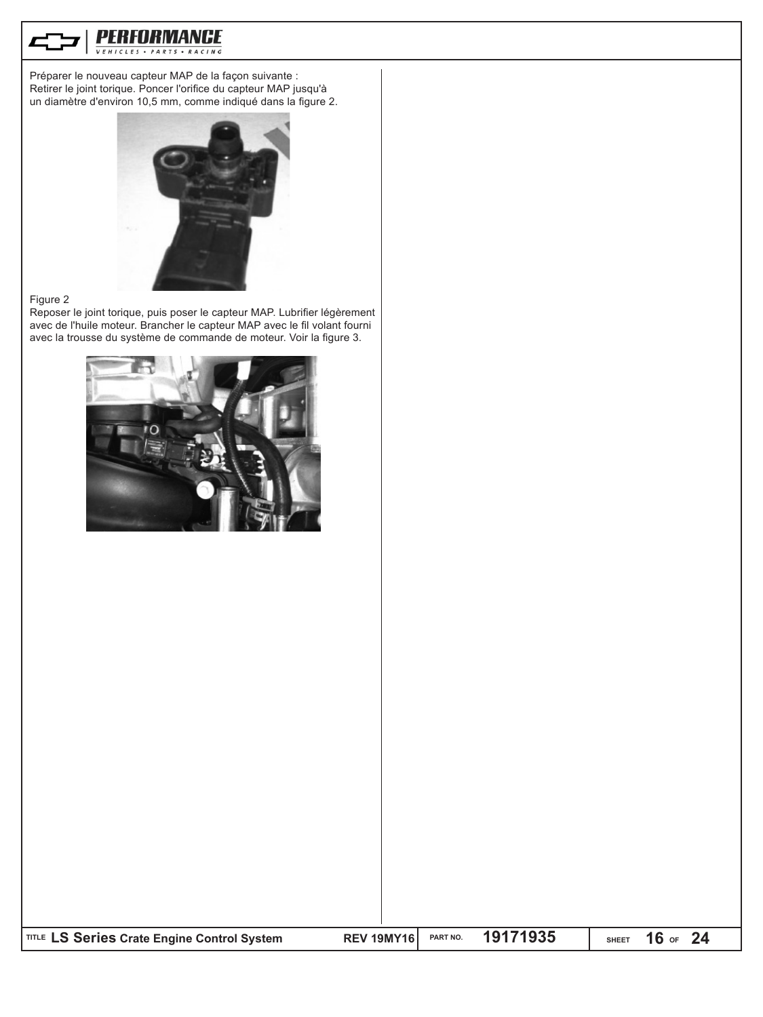

Préparer le nouveau capteur MAP de la façon suivante : Retirer le joint torique. Poncer l'orifice du capteur MAP jusqu'à un diamètre d'environ 10,5 mm, comme indiqué dans la figure 2.



#### Figure 2

Reposer le joint torique, puis poser le capteur MAP. Lubrifier légèrement avec de l'huile moteur. Brancher le capteur MAP avec le fil volant fourni avec la trousse du système de commande de moteur. Voir la figure 3.

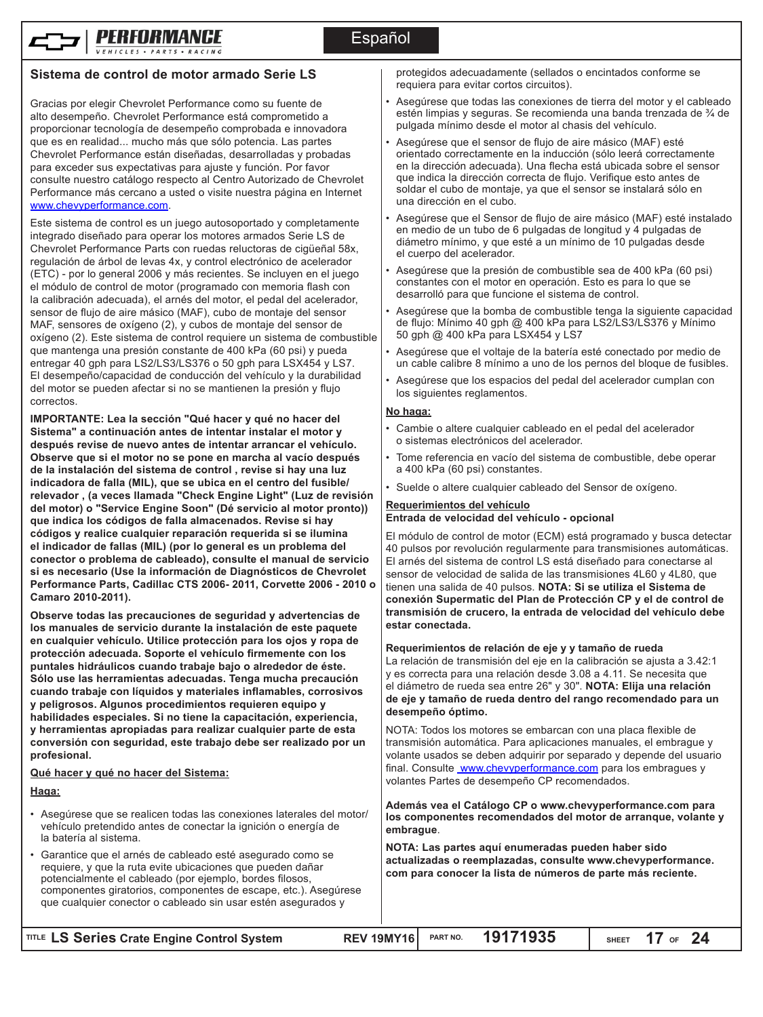

# **Sistema de control de motor armado Serie LS**

Gracias por elegir Chevrolet Performance como su fuente de alto desempeño. Chevrolet Performance está comprometido a proporcionar tecnología de desempeño comprobada e innovadora que es en realidad... mucho más que sólo potencia. Las partes Chevrolet Performance están diseñadas, desarrolladas y probadas para exceder sus expectativas para ajuste y función. Por favor consulte nuestro catálogo respecto al Centro Autorizado de Chevrolet Performance más cercano a usted o visite nuestra página en Internet www.chevyperformance.com.

Este sistema de control es un juego autosoportado y completamente integrado diseñado para operar los motores armados Serie LS de Chevrolet Performance Parts con ruedas reluctoras de cigüeñal 58x, regulación de árbol de levas 4x, y control electrónico de acelerador (ETC) - por lo general 2006 y más recientes. Se incluyen en el juego el módulo de control de motor (programado con memoria flash con la calibración adecuada), el arnés del motor, el pedal del acelerador, sensor de flujo de aire másico (MAF), cubo de montaje del sensor MAF, sensores de oxígeno (2), y cubos de montaje del sensor de oxígeno (2). Este sistema de control requiere un sistema de combustible que mantenga una presión constante de 400 kPa (60 psi) y pueda entregar 40 gph para LS2/LS3/LS376 o 50 gph para LSX454 y LS7. El desempeño/capacidad de conducción del vehículo y la durabilidad del motor se pueden afectar si no se mantienen la presión y flujo correctos.

**IMPORTANTE: Lea la sección "Qué hacer y qué no hacer del Sistema" a continuación antes de intentar instalar el motor y después revise de nuevo antes de intentar arrancar el vehículo. Observe que si el motor no se pone en marcha al vacío después de la instalación del sistema de control , revise si hay una luz indicadora de falla (MIL), que se ubica en el centro del fusible/ relevador , (a veces llamada "Check Engine Light" (Luz de revisión del motor) o "Service Engine Soon" (Dé servicio al motor pronto)) que indica los códigos de falla almacenados. Revise si hay códigos y realice cualquier reparación requerida si se ilumina el indicador de fallas (MIL) (por lo general es un problema del conector o problema de cableado), consulte el manual de servicio si es necesario (Use la información de Diagnósticos de Chevrolet Performance Parts, Cadillac CTS 2006- 2011, Corvette 2006 - 2010 o Camaro 2010-2011).**

**Observe todas las precauciones de seguridad y advertencias de los manuales de servicio durante la instalación de este paquete en cualquier vehículo. Utilice protección para los ojos y ropa de protección adecuada. Soporte el vehículo firmemente con los puntales hidráulicos cuando trabaje bajo o alrededor de éste. Sólo use las herramientas adecuadas. Tenga mucha precaución cuando trabaje con líquidos y materiales inflamables, corrosivos y peligrosos. Algunos procedimientos requieren equipo y habilidades especiales. Si no tiene la capacitación, experiencia, y herramientas apropiadas para realizar cualquier parte de esta conversión con seguridad, este trabajo debe ser realizado por un profesional.**

### **Qué hacer y qué no hacer del Sistema:**

#### **Haga:**

- Asegúrese que se realicen todas las conexiones laterales del motor/ vehículo pretendido antes de conectar la ignición o energía de la batería al sistema.
- Garantice que el arnés de cableado esté asegurado como se requiere, y que la ruta evite ubicaciones que pueden dañar potencialmente el cableado (por ejemplo, bordes filosos, componentes giratorios, componentes de escape, etc.). Asegúrese que cualquier conector o cableado sin usar estén asegurados y

protegidos adecuadamente (sellados o encintados conforme se requiera para evitar cortos circuitos).

- Asegúrese que todas las conexiones de tierra del motor y el cableado estén limpias y seguras. Se recomienda una banda trenzada de ¾ de pulgada mínimo desde el motor al chasis del vehículo.
- Asegúrese que el sensor de flujo de aire másico (MAF) esté orientado correctamente en la inducción (sólo leerá correctamente en la dirección adecuada). Una flecha está ubicada sobre el sensor que indica la dirección correcta de flujo. Verifique esto antes de soldar el cubo de montaje, ya que el sensor se instalará sólo en una dirección en el cubo.
- Asegúrese que el Sensor de flujo de aire másico (MAF) esté instalado en medio de un tubo de 6 pulgadas de longitud y 4 pulgadas de diámetro mínimo, y que esté a un mínimo de 10 pulgadas desde el cuerpo del acelerador.
- Asegúrese que la presión de combustible sea de 400 kPa (60 psi) constantes con el motor en operación. Esto es para lo que se desarrolló para que funcione el sistema de control.
- Asegúrese que la bomba de combustible tenga la siguiente capacidad de flujo: Mínimo 40 gph @ 400 kPa para LS2/LS3/LS376 y Mínimo 50 gph @ 400 kPa para LSX454 y LS7
- Asegúrese que el voltaje de la batería esté conectado por medio de un cable calibre 8 mínimo a uno de los pernos del bloque de fusibles.
- Asegúrese que los espacios del pedal del acelerador cumplan con los siguientes reglamentos.

#### **No haga:**

**desempeño óptimo.**

- Cambie o altere cualquier cableado en el pedal del acelerador o sistemas electrónicos del acelerador.
- Tome referencia en vacío del sistema de combustible, debe operar a 400 kPa (60 psi) constantes.
- Suelde o altere cualquier cableado del Sensor de oxígeno.

#### **Requerimientos del vehículo Entrada de velocidad del vehículo - opcional**

El módulo de control de motor (ECM) está programado y busca detectar 40 pulsos por revolución regularmente para transmisiones automáticas. El arnés del sistema de control LS está diseñado para conectarse al sensor de velocidad de salida de las transmisiones 4L60 y 4L80, que tienen una salida de 40 pulsos. **NOTA: Si se utiliza el Sistema de conexión Supermatic del Plan de Protección CP y el de control de transmisión de crucero, la entrada de velocidad del vehículo debe estar conectada.**

**Requerimientos de relación de eje y y tamaño de rueda** La relación de transmisión del eje en la calibración se ajusta a 3.42:1 y es correcta para una relación desde 3.08 a 4.11. Se necesita que el diámetro de rueda sea entre 26" y 30". **NOTA: Elija una relación de eje y tamaño de rueda dentro del rango recomendado para un** 

NOTA: Todos los motores se embarcan con una placa flexible de transmisión automática. Para aplicaciones manuales, el embrague y volante usados se deben adquirir por separado y depende del usuario final. Consulte www.chevyperformance.com para los embragues y volantes Partes de desempeño CP recomendados.

**Además vea el Catálogo CP o www.chevyperformance.com para los componentes recomendados del motor de arranque, volante y embrague**.

**NOTA: Las partes aquí enumeradas pueden haber sido actualizadas o reemplazadas, consulte www.chevyperformance. com para conocer la lista de números de parte más reciente.**

**SHEET OF 17 24**

**LS Series Crate Engine Control System REV 19MY16 TITLE PART NO. 19171935**

|                                             | <b>REV 19MY16</b> |
|---------------------------------------------|-------------------|
| TITLE LS Series Crate Engine Control System |                   |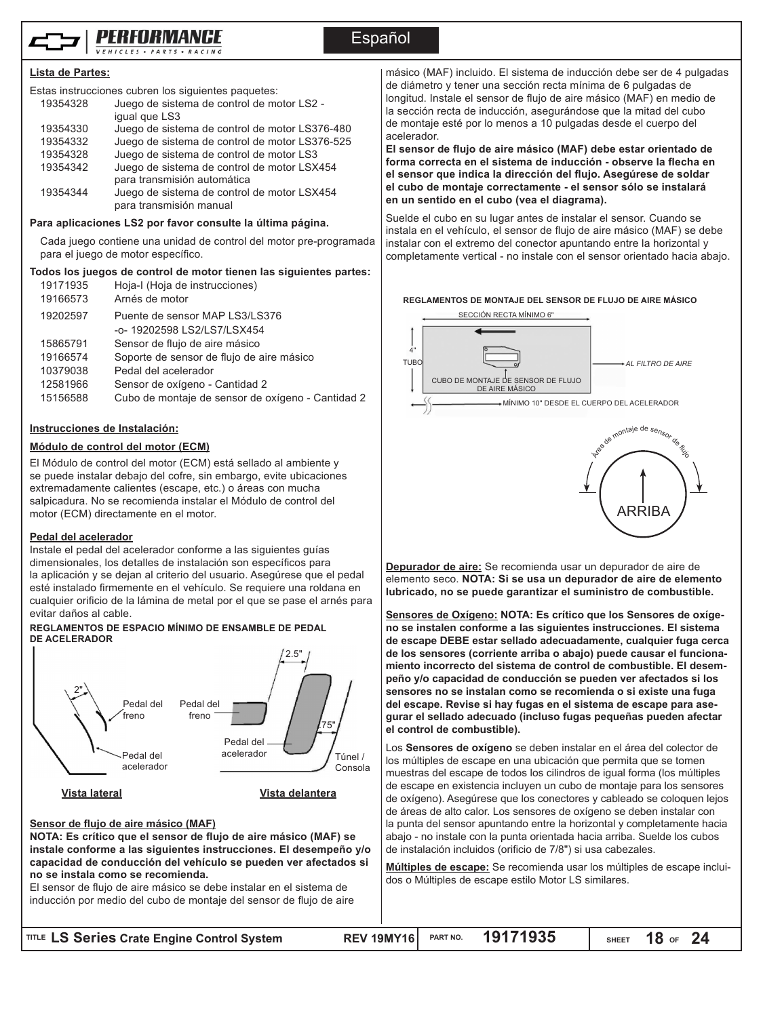

# Español

#### **Lista de Partes:**

|          | Estas instrucciones cubren los siguientes paquetes: |
|----------|-----------------------------------------------------|
| 19354328 | Juego de sistema de control de motor LS2 -          |
|          | iqual que LS3                                       |
| 19354330 | Juego de sistema de control de motor LS376-480      |
| 19354332 | Juego de sistema de control de motor LS376-525      |
| 19354328 | Juego de sistema de control de motor LS3            |
| 19354342 | Juego de sistema de control de motor LSX454         |
|          | para transmisión automática                         |
| 19354344 | Juego de sistema de control de motor LSX454         |
|          | para transmisión manual                             |

#### **Para aplicaciones LS2 por favor consulte la última página.**

Cada juego contiene una unidad de control del motor pre-programada para el juego de motor específico.

#### **Todos los juegos de control de motor tienen las siguientes partes:**

| 19171935<br>19166573 | Hoja-I (Hoja de instrucciones)<br>Arnés de motor  |
|----------------------|---------------------------------------------------|
| 19202597             | Puente de sensor MAP LS3/LS376                    |
|                      | -o-19202598 LS2/LS7/LSX454                        |
| 15865791             | Sensor de flujo de aire másico                    |
| 19166574             | Soporte de sensor de flujo de aire másico         |
| 10379038             | Pedal del acelerador                              |
| 12581966             | Sensor de oxígeno - Cantidad 2                    |
| 15156588             | Cubo de montaje de sensor de oxígeno - Cantidad 2 |
|                      |                                                   |

#### **Instrucciones de Instalación:**

#### **Módulo de control del motor (ECM)**

El Módulo de control del motor (ECM) está sellado al ambiente y se puede instalar debajo del cofre, sin embargo, evite ubicaciones extremadamente calientes (escape, etc.) o áreas con mucha salpicadura. No se recomienda instalar el Módulo de control del motor (ECM) directamente en el motor.

#### **Pedal del acelerador**

Instale el pedal del acelerador conforme a las siguientes guías dimensionales, los detalles de instalación son específicos para la aplicación y se dejan al criterio del usuario. Asegúrese que el pedal esté instalado firmemente en el vehículo. Se requiere una roldana en cualquier orificio de la lámina de metal por el que se pase el arnés para evitar daños al cable.

#### **REGLAMENTOS DE ESPACIO MÍNIMO DE ENSAMBLE DE PEDAL DE ACELERADOR**



**Vista lateral**

**Vista delantera**

#### **Sensor de flujo de aire másico (MAF)**

**NOTA: Es crítico que el sensor de flujo de aire másico (MAF) se instale conforme a las siguientes instrucciones. El desempeño y/o capacidad de conducción del vehículo se pueden ver afectados si no se instala como se recomienda.** 

El sensor de flujo de aire másico se debe instalar en el sistema de inducción por medio del cubo de montaje del sensor de flujo de aire másico (MAF) incluido. El sistema de inducción debe ser de 4 pulgadas de diámetro y tener una sección recta mínima de 6 pulgadas de longitud. Instale el sensor de flujo de aire másico (MAF) en medio de la sección recta de inducción, asegurándose que la mitad del cubo de montaje esté por lo menos a 10 pulgadas desde el cuerpo del acelerador.

**El sensor de flujo de aire másico (MAF) debe estar orientado de forma correcta en el sistema de inducción - observe la flecha en el sensor que indica la dirección del flujo. Asegúrese de soldar el cubo de montaje correctamente - el sensor sólo se instalará en un sentido en el cubo (vea el diagrama).**

Suelde el cubo en su lugar antes de instalar el sensor. Cuando se instala en el vehículo, el sensor de flujo de aire másico (MAF) se debe instalar con el extremo del conector apuntando entre la horizontal y completamente vertical - no instale con el sensor orientado hacia abajo.

#### **REGLAMENTOS DE MONTAJE DEL SENSOR DE FLUJO DE AIRE MÁSICO**





**Depurador de aire:** Se recomienda usar un depurador de aire de elemento seco. **NOTA: Si se usa un depurador de aire de elemento lubricado, no se puede garantizar el suministro de combustible.**

**Sensores de Oxígeno: NOTA: Es crítico que los Sensores de oxígeno se instalen conforme a las siguientes instrucciones. El sistema de escape DEBE estar sellado adecuadamente, cualquier fuga cerca de los sensores (corriente arriba o abajo) puede causar el funcionamiento incorrecto del sistema de control de combustible. El desempeño y/o capacidad de conducción se pueden ver afectados si los sensores no se instalan como se recomienda o si existe una fuga del escape. Revise si hay fugas en el sistema de escape para asegurar el sellado adecuado (incluso fugas pequeñas pueden afectar el control de combustible).**

Los **Sensores de oxígeno** se deben instalar en el área del colector de los múltiples de escape en una ubicación que permita que se tomen muestras del escape de todos los cilindros de igual forma (los múltiples de escape en existencia incluyen un cubo de montaje para los sensores de oxígeno). Asegúrese que los conectores y cableado se coloquen lejos de áreas de alto calor. Los sensores de oxígeno se deben instalar con la punta del sensor apuntando entre la horizontal y completamente hacia abajo - no instale con la punta orientada hacia arriba. Suelde los cubos de instalación incluidos (orificio de 7/8") si usa cabezales.

**Múltiples de escape:** Se recomienda usar los múltiples de escape incluidos o Múltiples de escape estilo Motor LS similares.

| TITLE LS Series Crate Engine Control System | REV 19MY16 PART NO. 19171935 |  | SHEET $18$ of $24$ |
|---------------------------------------------|------------------------------|--|--------------------|
|                                             |                              |  |                    |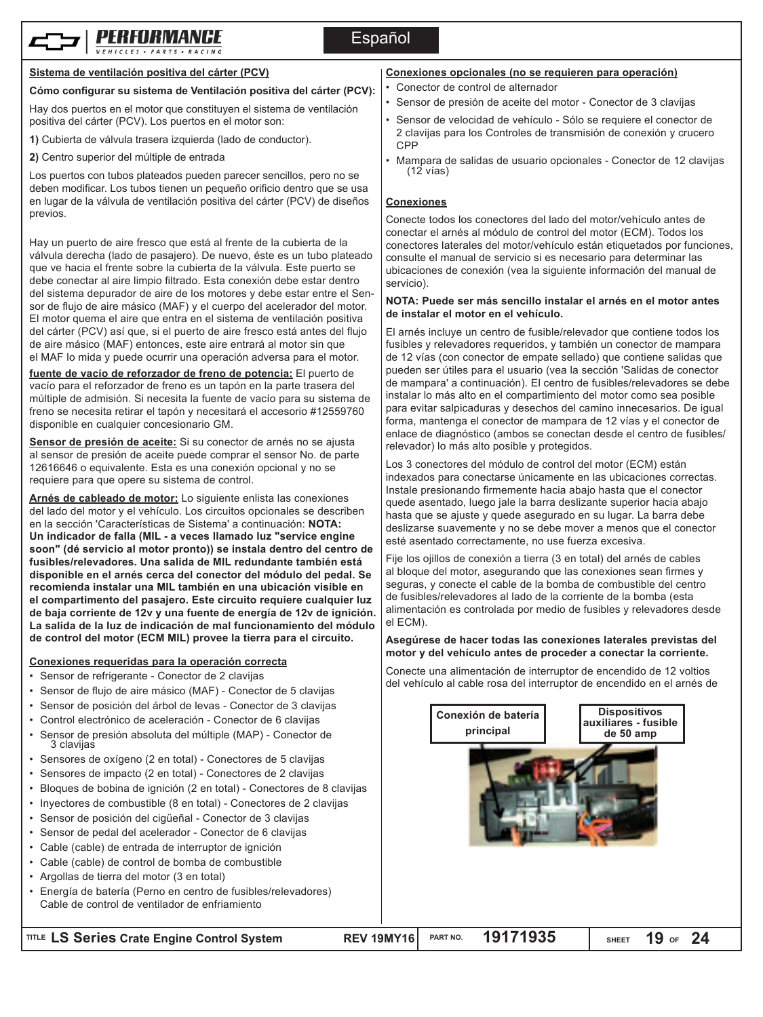



## **Sistema de ventilación positiva del cárter (PCV)**

## **Cómo configurar su sistema de Ventilación positiva del cárter (PCV):**

Hay dos puertos en el motor que constituyen el sistema de ventilación positiva del cárter (PCV). Los puertos en el motor son:

- **1)** Cubierta de válvula trasera izquierda (lado de conductor).
- **2)** Centro superior del múltiple de entrada

Los puertos con tubos plateados pueden parecer sencillos, pero no se deben modificar. Los tubos tienen un pequeño orificio dentro que se usa en lugar de la válvula de ventilación positiva del cárter (PCV) de diseños previos.

Hay un puerto de aire fresco que está al frente de la cubierta de la válvula derecha (lado de pasajero). De nuevo, éste es un tubo plateado que ve hacia el frente sobre la cubierta de la válvula. Este puerto se debe conectar al aire limpio filtrado. Esta conexión debe estar dentro del sistema depurador de aire de los motores y debe estar entre el Sensor de flujo de aire másico (MAF) y el cuerpo del acelerador del motor. El motor quema el aire que entra en el sistema de ventilación positiva del cárter (PCV) así que, si el puerto de aire fresco está antes del flujo de aire másico (MAF) entonces, este aire entrará al motor sin que el MAF lo mida y puede ocurrir una operación adversa para el motor.

**fuente de vacío de reforzador de freno de potencia:** El puerto de vacío para el reforzador de freno es un tapón en la parte trasera del múltiple de admisión. Si necesita la fuente de vacío para su sistema de freno se necesita retirar el tapón y necesitará el accesorio #12559760 disponible en cualquier concesionario GM.

**Sensor de presión de aceite:** Si su conector de arnés no se ajusta al sensor de presión de aceite puede comprar el sensor No. de parte 12616646 o equivalente. Esta es una conexión opcional y no se requiere para que opere su sistema de control.

**Arnés de cableado de motor:** Lo siguiente enlista las conexiones del lado del motor y el vehículo. Los circuitos opcionales se describen en la sección 'Características de Sistema' a continuación: **NOTA: Un indicador de falla (MIL - a veces llamado luz "service engine soon" (dé servicio al motor pronto)) se instala dentro del centro de fusibles/relevadores. Una salida de MIL redundante también está disponible en el arnés cerca del conector del módulo del pedal. Se recomienda instalar una MIL también en una ubicación visible en el compartimento del pasajero. Este circuito requiere cualquier luz de baja corriente de 12v y una fuente de energía de 12v de ignición. La salida de la luz de indicación de mal funcionamiento del módulo de control del motor (ECM MIL) provee la tierra para el circuito.**

### **Conexiones requeridas para la operación correcta**

- Sensor de refrigerante Conector de 2 clavijas
- Sensor de flujo de aire másico (MAF) Conector de 5 clavijas
- Sensor de posición del árbol de levas Conector de 3 clavijas
- Control electrónico de aceleración Conector de 6 clavijas
- Sensor de presión absoluta del múltiple (MAP) Conector de <sup>3</sup> clavijas
- Sensores de oxígeno (2 en total) Conectores de 5 clavijas
- Sensores de impacto (2 en total) Conectores de 2 clavijas
- Bloques de bobina de ignición (2 en total) Conectores de 8 clavijas
- Inyectores de combustible (8 en total) Conectores de 2 clavijas
- Sensor de posición del cigüeñal Conector de 3 clavijas
- Sensor de pedal del acelerador Conector de 6 clavijas
- Cable (cable) de entrada de interruptor de ignición
- Cable (cable) de control de bomba de combustible
- Argollas de tierra del motor (3 en total)
- Energía de batería (Perno en centro de fusibles/relevadores) Cable de control de ventilador de enfriamiento

# **Conexiones opcionales (no se requieren para operación)**

- Conector de control de alternador
- Sensor de presión de aceite del motor Conector de 3 clavijas
- Sensor de velocidad de vehículo Sólo se requiere el conector de 2 clavijas para los Controles de transmisión de conexión y crucero CPP
- Mampara de salidas de usuario opcionales Conector de 12 clavijas (12 vías)

#### **Conexiones**

Conecte todos los conectores del lado del motor/vehículo antes de conectar el arnés al módulo de control del motor (ECM). Todos los conectores laterales del motor/vehículo están etiquetados por funciones, consulte el manual de servicio si es necesario para determinar las ubicaciones de conexión (vea la siguiente información del manual de servicio).

#### **NOTA: Puede ser más sencillo instalar el arnés en el motor antes de instalar el motor en el vehículo.**

El arnés incluye un centro de fusible/relevador que contiene todos los fusibles y relevadores requeridos, y también un conector de mampara de 12 vías (con conector de empate sellado) que contiene salidas que pueden ser útiles para el usuario (vea la sección 'Salidas de conector de mampara' a continuación). El centro de fusibles/relevadores se debe instalar lo más alto en el compartimiento del motor como sea posible para evitar salpicaduras y desechos del camino innecesarios. De igual forma, mantenga el conector de mampara de 12 vías y el conector de enlace de diagnóstico (ambos se conectan desde el centro de fusibles/ relevador) lo más alto posible y protegidos.

Los 3 conectores del módulo de control del motor (ECM) están indexados para conectarse únicamente en las ubicaciones correctas. Instale presionando firmemente hacia abajo hasta que el conector quede asentado, luego jale la barra deslizante superior hacia abajo hasta que se ajuste y quede asegurado en su lugar. La barra debe deslizarse suavemente y no se debe mover a menos que el conector esté asentado correctamente, no use fuerza excesiva.

Fije los ojillos de conexión a tierra (3 en total) del arnés de cables al bloque del motor, asegurando que las conexiones sean firmes y seguras, y conecte el cable de la bomba de combustible del centro de fusibles/relevadores al lado de la corriente de la bomba (esta alimentación es controlada por medio de fusibles y relevadores desde el ECM).

#### **Asegúrese de hacer todas las conexiones laterales previstas del motor y del vehículo antes de proceder a conectar la corriente.**

Conecte una alimentación de interruptor de encendido de 12 voltios del vehículo al cable rosa del interruptor de encendido en el arnés de

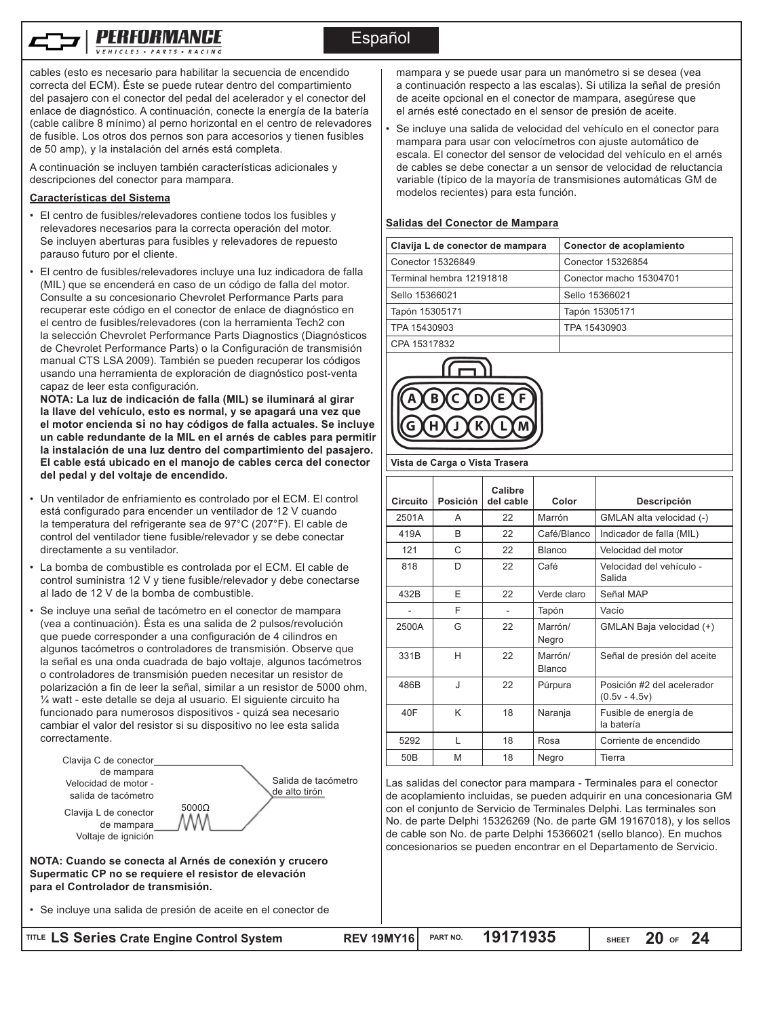cables (esto es necesario para habilitar la secuencia de encendido correcta del ECM). Éste se puede rutear dentro del compartimiento del pasajero con el conector del pedal del acelerador y el conector del enlace de diagnóstico. A continuación, conecte la energía de la batería (cable calibre 8 mínimo) al perno horizontal en el centro de relevadores de fusible. Los otros dos pernos son para accesorios y tienen fusibles de 50 amp), y la instalación del arnés está completa.

A continuación se incluyen también características adicionales y descripciones del conector para mampara.

#### **Características del Sistema**

- El centro de fusibles/relevadores contiene todos los fusibles y relevadores necesarios para la correcta operación del motor. Se incluyen aberturas para fusibles y relevadores de repuesto parauso futuro por el cliente.
- El centro de fusibles/relevadores incluye una luz indicadora de falla (MIL) que se encenderá en caso de un código de falla del motor. Consulte a su concesionario Chevrolet Performance Parts para recuperar este código en el conector de enlace de diagnóstico en el centro de fusibles/relevadores (con la herramienta Tech2 con la selección Chevrolet Performance Parts Diagnostics (Diagnósticos de Chevrolet Performance Parts) o la Configuración de transmisión manual CTS LSA 2009). También se pueden recuperar los códigos usando una herramienta de exploración de diagnóstico post-venta capaz de leer esta configuración.

**NOTA: La luz de indicación de falla (MIL) se iluminará al girar la llave del vehículo, esto es normal, y se apagará una vez que el motor encienda si no hay códigos de falla actuales. Se incluye un cable redundante de la MIL en el arnés de cables para permitir la instalación de una luz dentro del compartimiento del pasajero. El cable está ubicado en el manojo de cables cerca del conector del pedal y del voltaje de encendido.**

- Un ventilador de enfriamiento es controlado por el ECM. El control está configurado para encender un ventilador de 12 V cuando la temperatura del refrigerante sea de 97°C (207°F). El cable de control del ventilador tiene fusible/relevador y se debe conectar directamente a su ventilador.
- La bomba de combustible es controlada por el ECM. El cable de control suministra 12 V y tiene fusible/relevador y debe conectarse al lado de 12 V de la bomba de combustible.
- Se incluye una señal de tacómetro en el conector de mampara (vea a continuación). Ésta es una salida de 2 pulsos/revolución que puede corresponder a una configuración de 4 cilindros en algunos tacómetros o controladores de transmisión. Observe que la señal es una onda cuadrada de bajo voltaje, algunos tacómetros o controladores de transmisión pueden necesitar un resistor de polarización a fin de leer la señal, similar a un resistor de 5000 ohm, ¼ watt - este detalle se deja al usuario. El siguiente circuito ha funcionado para numerosos dispositivos - quizá sea necesario cambiar el valor del resistor si su dispositivo no lee esta salida correctamente.

| Clavija C de conector                                      |                                                                                                                 |
|------------------------------------------------------------|-----------------------------------------------------------------------------------------------------------------|
| de mampara                                                 |                                                                                                                 |
| Velocidad de motor -                                       | Salida de tacómetro                                                                                             |
| salida de tacómetro                                        | de alto tirón                                                                                                   |
| Clavija L de conector<br>de mampara<br>Voltaje de ignición | $5000\Omega$                                                                                                    |
| para el Controlador de transmisión.                        | NOTA: Cuando se conecta al Arnés de conexión y crucero<br>Supermatic CP no se requiere el resistor de elevación |

• Se incluye una salida de presión de aceite en el conector de

**RITLE LS Series Crate Engine Control System** 

mampara y se puede usar para un manómetro si se desea (vea a continuación respecto a las escalas). Si utiliza la señal de presión de aceite opcional en el conector de mampara, asegúrese que el arnés esté conectado en el sensor de presión de aceite.

• Se incluye una salida de velocidad del vehículo en el conector para mampara para usar con velocímetros con ajuste automático de escala. El conector del sensor de velocidad del vehículo en el arnés de cables se debe conectar a un sensor de velocidad de reluctancia variable (típico de la mayoría de transmisiones automáticas GM de modelos recientes) para esta función.

#### **Salidas del Conector de Mampara**

| Clavija L de conector de mampara | Conector de acoplamiento |
|----------------------------------|--------------------------|
| Conector 15326849                | Conector 15326854        |
| Terminal hembra 12191818         | Conector macho 15304701  |
| Sello 15366021                   | Sello 15366021           |
| Tapón 15305171                   | Tapón 15305171           |
| TPA 15430903                     | TPA 15430903             |
| CDA 15317932                     |                          |

CPA 1531783.



#### **Vista de Carga o Vista Trasera**

| Circuito        | Posición | Calibre<br>del cable | Color                    | Descripción                                   |
|-----------------|----------|----------------------|--------------------------|-----------------------------------------------|
| 2501A           | A        | 22                   | Marrón                   | GMLAN alta velocidad (-)                      |
| 419A            | B        | 22                   | Café/Blanco              | Indicador de falla (MIL)                      |
| 121             | C        | 22                   | <b>Blanco</b>            | Velocidad del motor                           |
| 818             | D        | 22                   | Café                     | Velocidad del vehículo -<br>Salida            |
| 432B            | F        | 22                   | Verde claro              | Señal MAP                                     |
|                 | F        |                      | Tapón                    | Vacío                                         |
| 2500A           | G        | 22                   | Marrón/<br>Negro         | GMLAN Baja velocidad (+)                      |
| 331B            | Н        | 22                   | Marrón/<br><b>Blanco</b> | Señal de presión del aceite                   |
| 486B            | J        | 22                   | Púrpura                  | Posición #2 del acelerador<br>$(0.5v - 4.5v)$ |
| 40F             | K        | 18                   | Naranja                  | Fusible de energía de<br>la batería           |
| 5292            | L        | 18                   | Rosa                     | Corriente de encendido                        |
| 50 <sub>B</sub> | M        | 18                   | Negro                    | Tierra                                        |

Las salidas del conector para mampara - Terminales para el conector de acoplamiento incluidas, se pueden adquirir en una concesionaria GM con el conjunto de Servicio de Terminales Delphi. Las terminales son No. de parte Delphi 15326269 (No. de parte GM 19167018), y los sellos de cable son No. de parte Delphi 15366021 (sello blanco). En muchos concesionarios se pueden encontrar en el Departamento de Servicio.

| :em | REV 19MY16 | PART NO. | 19171935 | <b>SHEET</b> | <b>20</b><br>OF |  |
|-----|------------|----------|----------|--------------|-----------------|--|
|     |            |          |          |              |                 |  |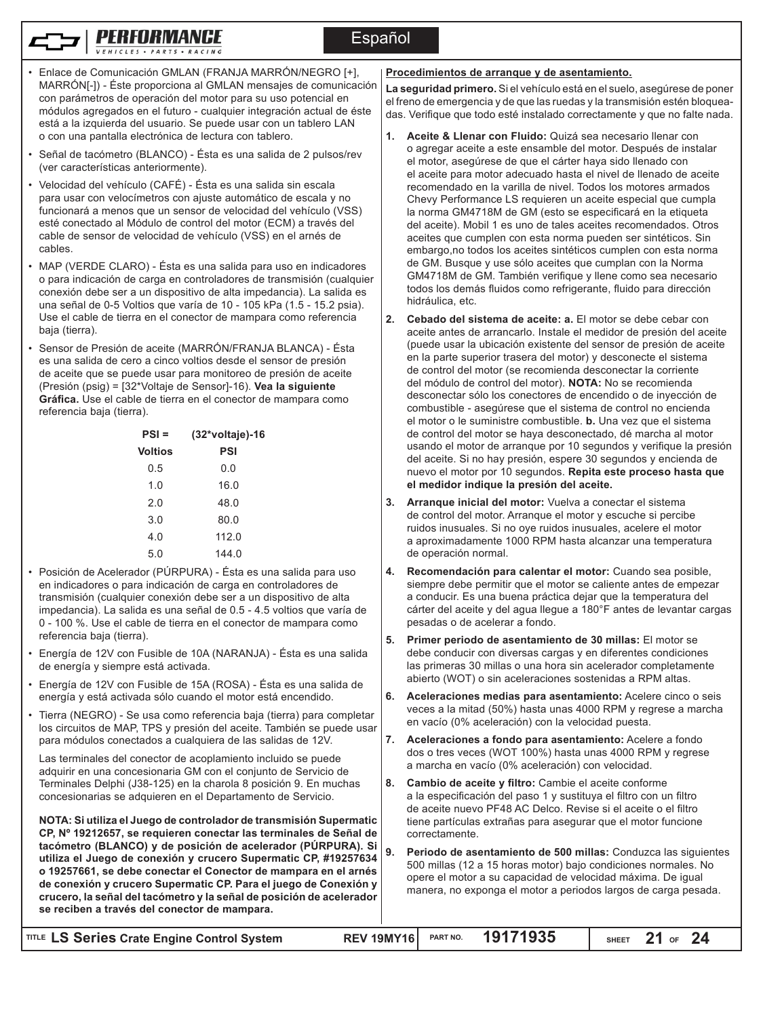Español

- Enlace de Comunicación GMLAN (FRANJA MARRÓN/NEGRO [+], MARRÓN[-]) - Éste proporciona al GMLAN mensajes de comunicación con parámetros de operación del motor para su uso potencial en módulos agregados en el futuro - cualquier integración actual de éste está a la izquierda del usuario. Se puede usar con un tablero LAN o con una pantalla electrónica de lectura con tablero.
- Señal de tacómetro (BLANCO) Ésta es una salida de 2 pulsos/rev (ver características anteriormente).
- Velocidad del vehículo (CAFÉ) Ésta es una salida sin escala para usar con velocímetros con ajuste automático de escala y no funcionará a menos que un sensor de velocidad del vehículo (VSS) esté conectado al Módulo de control del motor (ECM) a través del cable de sensor de velocidad de vehículo (VSS) en el arnés de cables.
- MAP (VERDE CLARO) Ésta es una salida para uso en indicadores o para indicación de carga en controladores de transmisión (cualquier conexión debe ser a un dispositivo de alta impedancia). La salida es una señal de 0-5 Voltios que varía de 10 - 105 kPa (1.5 - 15.2 psia). Use el cable de tierra en el conector de mampara como referencia baja (tierra).
- Sensor de Presión de aceite (MARRÓN/FRANJA BLANCA) Ésta es una salida de cero a cinco voltios desde el sensor de presión de aceite que se puede usar para monitoreo de presión de aceite (Presión (psig) = [32\*Voltaje de Sensor]-16). **Vea la siguiente Gráfica.** Use el cable de tierra en el conector de mampara como referencia baja (tierra).

| $PSI =$        | (32*voltaje)-16 |
|----------------|-----------------|
| <b>Voltios</b> | PSI             |
| 0.5            | 0.0             |
| 1.0            | 16.0            |
| 2.0            | 48.0            |
| 3.0            | 80.0            |
| 4.0            | 112.0           |
| 5.0            | 144.0           |

- Posición de Acelerador (PÚRPURA) Ésta es una salida para uso en indicadores o para indicación de carga en controladores de transmisión (cualquier conexión debe ser a un dispositivo de alta impedancia). La salida es una señal de 0.5 - 4.5 voltios que varía de 0 - 100 %. Use el cable de tierra en el conector de mampara como referencia baja (tierra).
- Energía de 12V con Fusible de 10A (NARANJA) Ésta es una salida de energía y siempre está activada.
- Energía de 12V con Fusible de 15A (ROSA) Ésta es una salida de energía y está activada sólo cuando el motor está encendido.
- Tierra (NEGRO) Se usa como referencia baja (tierra) para completar los circuitos de MAP, TPS y presión del aceite. También se puede usar para módulos conectados a cualquiera de las salidas de 12V.

Las terminales del conector de acoplamiento incluido se puede adquirir en una concesionaria GM con el conjunto de Servicio de Terminales Delphi (J38-125) en la charola 8 posición 9. En muchas concesionarias se adquieren en el Departamento de Servicio.

**NOTA: Si utiliza el Juego de controlador de transmisión Supermatic CP, Nº 19212657, se requieren conectar las terminales de Señal de tacómetro (BLANCO) y de posición de acelerador (PÚRPURA). Si utiliza el Juego de conexión y crucero Supermatic CP, #19257634 o 19257661, se debe conectar el Conector de mampara en el arnés de conexión y crucero Supermatic CP. Para el juego de Conexión y crucero, la señal del tacómetro y la señal de posición de acelerador se reciben a través del conector de mampara.**

#### **Procedimientos de arranque y de asentamiento.**

**La seguridad primero.** Si el vehículo está en el suelo, asegúrese de poner el freno de emergencia y de que las ruedas y la transmisión estén bloqueadas. Verifique que todo esté instalado correctamente y que no falte nada.

- **1. Aceite & Llenar con Fluido:** Quizá sea necesario llenar con o agregar aceite a este ensamble del motor. Después de instalar el motor, asegúrese de que el cárter haya sido llenado con el aceite para motor adecuado hasta el nivel de llenado de aceite recomendado en la varilla de nivel. Todos los motores armados Chevy Performance LS requieren un aceite especial que cumpla la norma GM4718M de GM (esto se especificará en la etiqueta del aceite). Mobil 1 es uno de tales aceites recomendados. Otros aceites que cumplen con esta norma pueden ser sintéticos. Sin embargo,no todos los aceites sintéticos cumplen con esta norma de GM. Busque y use sólo aceites que cumplan con la Norma GM4718M de GM. También verifique y llene como sea necesario todos los demás fluidos como refrigerante, fluido para dirección hidráulica, etc.
- **2. Cebado del sistema de aceite: a.** El motor se debe cebar con aceite antes de arrancarlo. Instale el medidor de presión del aceite (puede usar la ubicación existente del sensor de presión de aceite en la parte superior trasera del motor) y desconecte el sistema de control del motor (se recomienda desconectar la corriente del módulo de control del motor). **NOTA:** No se recomienda desconectar sólo los conectores de encendido o de inyección de combustible - asegúrese que el sistema de control no encienda el motor o le suministre combustible. **b.** Una vez que el sistema de control del motor se haya desconectado, dé marcha al motor usando el motor de arranque por 10 segundos y verifique la presión del aceite. Si no hay presión, espere 30 segundos y encienda de nuevo el motor por 10 segundos. **Repita este proceso hasta que el medidor indique la presión del aceite.**
- **3. Arranque inicial del motor:** Vuelva a conectar el sistema de control del motor. Arranque el motor y escuche si percibe ruidos inusuales. Si no oye ruidos inusuales, acelere el motor a aproximadamente 1000 RPM hasta alcanzar una temperatura de operación normal.
- **4. Recomendación para calentar el motor:** Cuando sea posible, siempre debe permitir que el motor se caliente antes de empezar a conducir. Es una buena práctica dejar que la temperatura del cárter del aceite y del agua llegue a 180°F antes de levantar cargas pesadas o de acelerar a fondo.
- **5. Primer periodo de asentamiento de 30 millas:** El motor se debe conducir con diversas cargas y en diferentes condiciones las primeras 30 millas o una hora sin acelerador completamente abierto (WOT) o sin aceleraciones sostenidas a RPM altas.
- **6. Aceleraciones medias para asentamiento:** Acelere cinco o seis veces a la mitad (50%) hasta unas 4000 RPM y regrese a marcha en vacío (0% aceleración) con la velocidad puesta.
- **7. Aceleraciones a fondo para asentamiento:** Acelere a fondo dos o tres veces (WOT 100%) hasta unas 4000 RPM y regrese a marcha en vacío (0% aceleración) con velocidad.
- **8. Cambio de aceite y filtro:** Cambie el aceite conforme a la especificación del paso 1 y sustituya el filtro con un filtro de aceite nuevo PF48 AC Delco. Revise si el aceite o el filtro tiene partículas extrañas para asegurar que el motor funcione correctamente.
- **9. Periodo de asentamiento de 500 millas:** Conduzca las siguientes 500 millas (12 a 15 horas motor) bajo condiciones normales. No opere el motor a su capacidad de velocidad máxima. De igual manera, no exponga el motor a periodos largos de carga pesada.

| TITLE LS Series Crate Engine Control System | REV 19MY16 PART NO. 19171935 | SHEET $21$ of $24$ |
|---------------------------------------------|------------------------------|--------------------|
|                                             |                              |                    |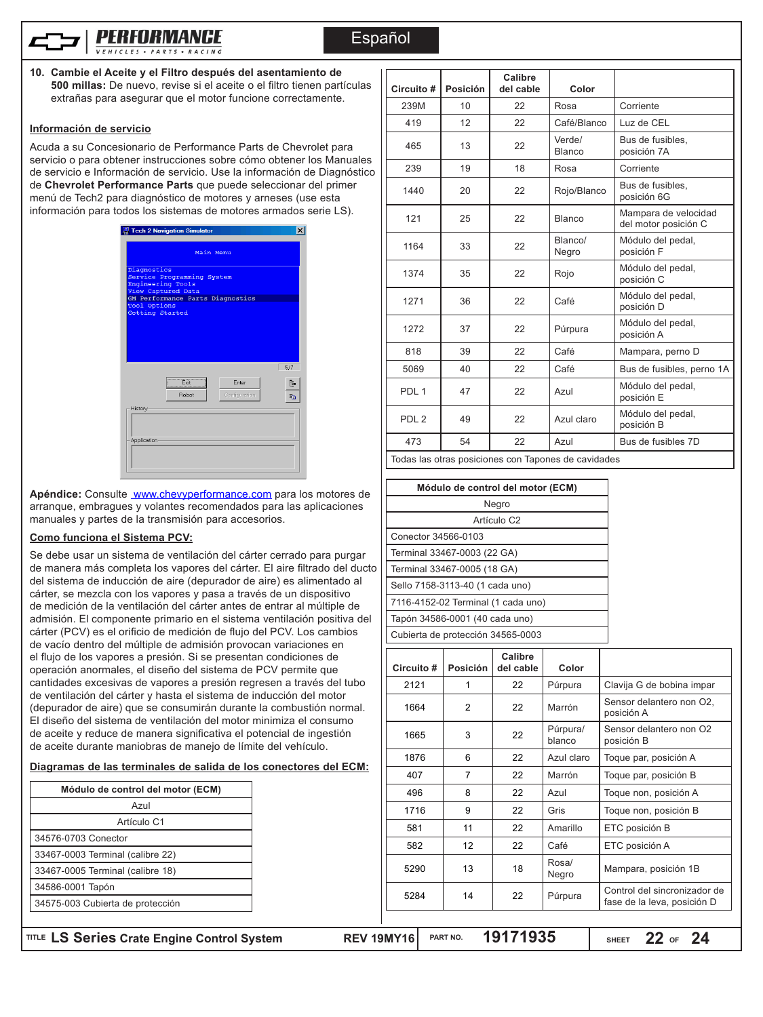

Español

**10. Cambie el Aceite y el Filtro después del asentamiento de 500 millas:** De nuevo, revise si el aceite o el filtro tienen partículas extrañas para asegurar que el motor funcione correctamente.

#### **Información de servicio**

Acuda a su Concesionario de Performance Parts de Chevrolet para servicio o para obtener instrucciones sobre cómo obtener los Manuales de servicio e Información de servicio. Use la información de Diagnóstico de **Chevrolet Performance Parts** que puede seleccionar del primer menú de Tech2 para diagnóstico de motores y arneses (use esta información para todos los sistemas de motores armados serie LS).



Apéndice: Consulte www.chevyperformance.com para los motores de arranque, embragues y volantes recomendados para las aplicaciones manuales y partes de la transmisión para accesorios.

#### **Como funciona el Sistema PCV:**

Se debe usar un sistema de ventilación del cárter cerrado para purgar de manera más completa los vapores del cárter. El aire filtrado del ducto del sistema de inducción de aire (depurador de aire) es alimentado al cárter, se mezcla con los vapores y pasa a través de un dispositivo de medición de la ventilación del cárter antes de entrar al múltiple de admisión. El componente primario en el sistema ventilación positiva del cárter (PCV) es el orificio de medición de flujo del PCV. Los cambios de vacío dentro del múltiple de admisión provocan variaciones en el flujo de los vapores a presión. Si se presentan condiciones de operación anormales, el diseño del sistema de PCV permite que cantidades excesivas de vapores a presión regresen a través del tubo de ventilación del cárter y hasta el sistema de inducción del motor (depurador de aire) que se consumirán durante la combustión normal. El diseño del sistema de ventilación del motor minimiza el consumo de aceite y reduce de manera significativa el potencial de ingestión de aceite durante maniobras de manejo de límite del vehículo.

#### **Diagramas de las terminales de salida de los conectores del ECM:**

|                     | Módulo de control del motor (ECM) |
|---------------------|-----------------------------------|
|                     | Azul                              |
|                     | Artículo C1                       |
| 34576-0703 Conector |                                   |
|                     | 33467-0003 Terminal (calibre 22)  |
|                     | 33467-0005 Terminal (calibre 18)  |
| 34586-0001 Tapón    |                                   |
|                     | 34575-003 Cubierta de protección  |

| Circuito #       | Posición | Calibre<br>del cable | Color                   |                                              |
|------------------|----------|----------------------|-------------------------|----------------------------------------------|
| 239M             | 10       | 22                   | Rosa                    | Corriente                                    |
| 419              | 12       | 22                   | Café/Blanco             | Luz de CEL                                   |
| 465              | 13       | 22                   | Verde/<br><b>Blanco</b> | Bus de fusibles,<br>posición 7A              |
| 239              | 19       | 18                   | Rosa                    | Corriente                                    |
| 1440             | 20       | 22                   | Rojo/Blanco             | Bus de fusibles,<br>posición 6G              |
| 121              | 25       | 22                   | <b>Blanco</b>           | Mampara de velocidad<br>del motor posición C |
| 1164             | 33       | 22                   | Blanco/<br>Negro        | Módulo del pedal,<br>posición F              |
| 1374             | 35       | 22                   | Rojo                    | Módulo del pedal,<br>posición C              |
| 1271             | 36       | 22                   | Café                    | Módulo del pedal,<br>posición D              |
| 1272             | 37       | 22                   | Púrpura                 | Módulo del pedal,<br>posición A              |
| 818              | 39       | 22                   | Café                    | Mampara, perno D                             |
| 5069             | 40       | 22                   | Café                    | Bus de fusibles, perno 1A                    |
| PDL <sub>1</sub> | 47       | 22                   | Azul                    | Módulo del pedal,<br>posición E              |
| PDL <sub>2</sub> | 49       | 22                   | Azul claro              | Módulo del pedal,<br>posición B              |
| 473              | 54       | 22                   | Azul                    | Bus de fusibles 7D                           |

Todas las otras posiciones con Tapones de cavidades

| Módulo de control del motor (ECM)  |
|------------------------------------|
| Negro                              |
| Artículo C <sub>2</sub>            |
| Conector 34566-0103                |
| Terminal 33467-0003 (22 GA)        |
| Terminal 33467-0005 (18 GA)        |
| Sello 7158-3113-40 (1 cada uno)    |
| 7116-4152-02 Terminal (1 cada uno) |
| Tapón 34586-0001 (40 cada uno)     |
| Cubierta de protección 34565-0003  |

| Circuito # | <b>Posición</b> | Calibre<br>del cable | Color              |                                                             |
|------------|-----------------|----------------------|--------------------|-------------------------------------------------------------|
| 2121       | 1               | 22                   | Púrpura            | Clavija G de bobina impar                                   |
| 1664       | $\overline{2}$  | 22                   | Marrón             | Sensor delantero non O2,<br>posición A                      |
| 1665       | 3               | 22                   | Púrpura/<br>blanco | Sensor delantero non O2<br>posición B                       |
| 1876       | 6               | 22                   | Azul claro         | Toque par, posición A                                       |
| 407        | 7               | 22                   | Marrón             | Toque par, posición B                                       |
| 496        | 8               | 22                   | Azul               | Toque non, posición A                                       |
| 1716       | 9               | 22                   | Gris               | Toque non, posición B                                       |
| 581        | 11              | 22                   | Amarillo           | ETC posición B                                              |
| 582        | 12              | 22                   | Café               | ETC posición A                                              |
| 5290       | 13              | 18                   | Rosa/<br>Negro     | Mampara, posición 1B                                        |
| 5284       | 14              | 22                   | Púrpura            | Control del sincronizador de<br>fase de la leva, posición D |
|            |                 |                      |                    |                                                             |

**LS Series Crate Engine Control System REV 19MY16 TITLE PART NO. 19171935**

**SHEET** 22 OF 24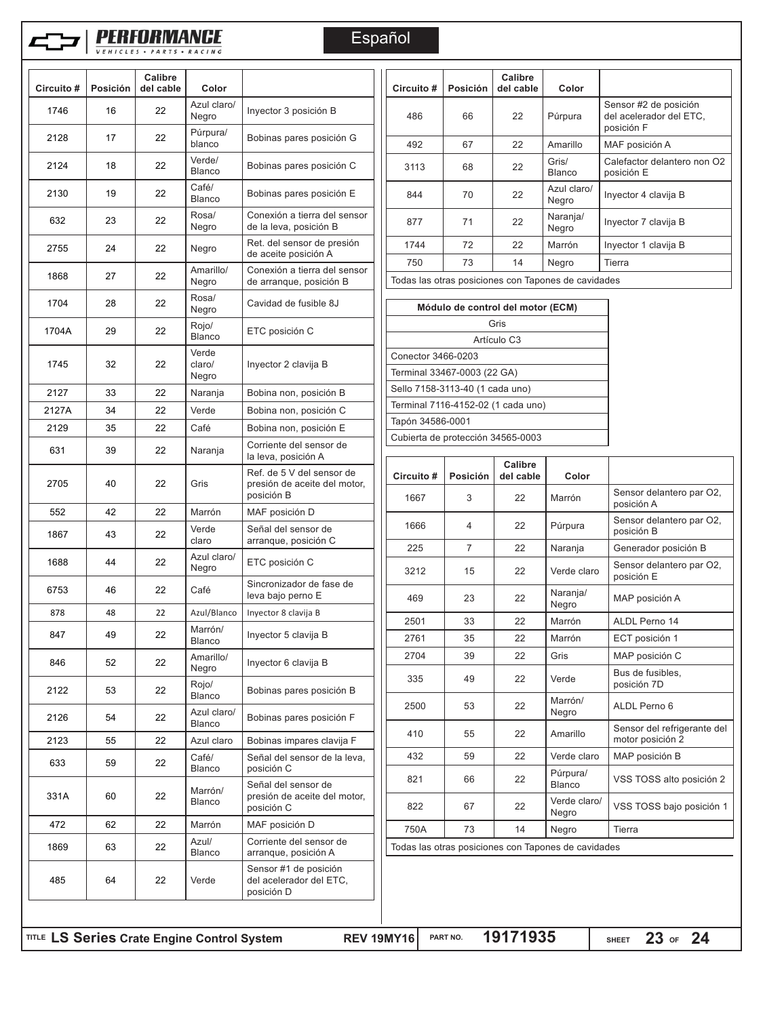

# **FREDRMANCE**

VEHICLES . PARTS . RACING

Español

| 22<br>16<br>17<br>22<br>18<br>22<br>19<br>22<br>23<br>22<br>22<br>24<br>27<br>22<br>28<br>22<br>22<br>29<br>32<br>22<br>33<br>22 | Azul claro/<br>Negro<br>Púrpura/<br>blanco<br>Verde/<br><b>Blanco</b><br>Café/<br><b>Blanco</b><br>Rosa/<br>Negro<br>Negro<br>Amarillo/<br>Negro<br>Rosa/<br>Negro<br>Rojo/<br><b>Blanco</b><br>Verde | Inyector 3 posición B<br>Bobinas pares posición G<br>Bobinas pares posición C<br>Bobinas pares posición E<br>Conexión a tierra del sensor<br>de la leva, posición B<br>Ret. del sensor de presión<br>de aceite posición A<br>Conexión a tierra del sensor<br>de arranque, posición B<br>Cavidad de fusible 8J<br>ETC posición C |                                                                                                                                                                                                                          | 486<br>492<br>3113<br>844<br>877<br>1744<br>750<br>Todas las otras posiciones con Tapones | 66<br>67<br>68<br>70<br>71<br>72<br>73 | 22<br>22<br>22<br>22<br>22<br>22<br>14       | Pú<br>Αn<br>Gr<br>Bla<br>Az<br>Ne<br>Na<br>Ne<br>Mε<br>Ne                                                                                                  |
|----------------------------------------------------------------------------------------------------------------------------------|-------------------------------------------------------------------------------------------------------------------------------------------------------------------------------------------------------|---------------------------------------------------------------------------------------------------------------------------------------------------------------------------------------------------------------------------------------------------------------------------------------------------------------------------------|--------------------------------------------------------------------------------------------------------------------------------------------------------------------------------------------------------------------------|-------------------------------------------------------------------------------------------|----------------------------------------|----------------------------------------------|------------------------------------------------------------------------------------------------------------------------------------------------------------|
|                                                                                                                                  |                                                                                                                                                                                                       |                                                                                                                                                                                                                                                                                                                                 |                                                                                                                                                                                                                          |                                                                                           |                                        |                                              |                                                                                                                                                            |
|                                                                                                                                  |                                                                                                                                                                                                       |                                                                                                                                                                                                                                                                                                                                 |                                                                                                                                                                                                                          |                                                                                           |                                        |                                              |                                                                                                                                                            |
|                                                                                                                                  |                                                                                                                                                                                                       |                                                                                                                                                                                                                                                                                                                                 |                                                                                                                                                                                                                          |                                                                                           |                                        |                                              |                                                                                                                                                            |
|                                                                                                                                  |                                                                                                                                                                                                       |                                                                                                                                                                                                                                                                                                                                 |                                                                                                                                                                                                                          |                                                                                           |                                        |                                              |                                                                                                                                                            |
|                                                                                                                                  |                                                                                                                                                                                                       |                                                                                                                                                                                                                                                                                                                                 |                                                                                                                                                                                                                          |                                                                                           |                                        |                                              |                                                                                                                                                            |
|                                                                                                                                  |                                                                                                                                                                                                       |                                                                                                                                                                                                                                                                                                                                 |                                                                                                                                                                                                                          |                                                                                           |                                        |                                              |                                                                                                                                                            |
|                                                                                                                                  |                                                                                                                                                                                                       |                                                                                                                                                                                                                                                                                                                                 |                                                                                                                                                                                                                          |                                                                                           |                                        |                                              |                                                                                                                                                            |
|                                                                                                                                  |                                                                                                                                                                                                       |                                                                                                                                                                                                                                                                                                                                 |                                                                                                                                                                                                                          |                                                                                           |                                        | Módulo de control del motor (E               |                                                                                                                                                            |
|                                                                                                                                  |                                                                                                                                                                                                       |                                                                                                                                                                                                                                                                                                                                 |                                                                                                                                                                                                                          |                                                                                           |                                        | Gris                                         |                                                                                                                                                            |
|                                                                                                                                  |                                                                                                                                                                                                       |                                                                                                                                                                                                                                                                                                                                 |                                                                                                                                                                                                                          | Conector 3466-0203                                                                        |                                        | Artículo C <sub>3</sub>                      |                                                                                                                                                            |
|                                                                                                                                  | claro/<br>Negro                                                                                                                                                                                       | Inyector 2 clavija B                                                                                                                                                                                                                                                                                                            |                                                                                                                                                                                                                          | Terminal 33467-0003 (22 GA)                                                               |                                        |                                              |                                                                                                                                                            |
|                                                                                                                                  | Naranja                                                                                                                                                                                               | Bobina non, posición B                                                                                                                                                                                                                                                                                                          |                                                                                                                                                                                                                          | Sello 7158-3113-40 (1 cada uno)                                                           |                                        |                                              |                                                                                                                                                            |
| 22<br>34                                                                                                                         | Verde                                                                                                                                                                                                 | Bobina non, posición C                                                                                                                                                                                                                                                                                                          |                                                                                                                                                                                                                          |                                                                                           |                                        |                                              |                                                                                                                                                            |
| 35<br>22                                                                                                                         | Café                                                                                                                                                                                                  | Bobina non, posición E                                                                                                                                                                                                                                                                                                          |                                                                                                                                                                                                                          |                                                                                           |                                        |                                              |                                                                                                                                                            |
| 39<br>22                                                                                                                         | Naranja                                                                                                                                                                                               | Corriente del sensor de                                                                                                                                                                                                                                                                                                         |                                                                                                                                                                                                                          |                                                                                           |                                        |                                              |                                                                                                                                                            |
| 40<br>22                                                                                                                         | Gris                                                                                                                                                                                                  | Ref. de 5 V del sensor de<br>presión de aceite del motor,                                                                                                                                                                                                                                                                       |                                                                                                                                                                                                                          | Circuito#                                                                                 | Posición                               | del cable                                    |                                                                                                                                                            |
| 42<br>22                                                                                                                         | Marrón                                                                                                                                                                                                |                                                                                                                                                                                                                                                                                                                                 |                                                                                                                                                                                                                          |                                                                                           |                                        |                                              | M                                                                                                                                                          |
| 43<br>22                                                                                                                         | Verde<br>claro                                                                                                                                                                                        | Señal del sensor de                                                                                                                                                                                                                                                                                                             |                                                                                                                                                                                                                          | 1666                                                                                      | 4                                      | 22                                           | P <sub>l</sub>                                                                                                                                             |
| 44<br>22                                                                                                                         | Azul claro/                                                                                                                                                                                           | ETC posición C                                                                                                                                                                                                                                                                                                                  |                                                                                                                                                                                                                          |                                                                                           |                                        |                                              | N<br>V٤                                                                                                                                                    |
| 46<br>22                                                                                                                         | Café                                                                                                                                                                                                  | Sincronizador de fase de                                                                                                                                                                                                                                                                                                        |                                                                                                                                                                                                                          |                                                                                           |                                        |                                              | N                                                                                                                                                          |
| 48<br>22                                                                                                                         | Azul/Blanco                                                                                                                                                                                           | Inyector 8 clavija B                                                                                                                                                                                                                                                                                                            |                                                                                                                                                                                                                          |                                                                                           |                                        |                                              | N <sub>6</sub>                                                                                                                                             |
| 49<br>22                                                                                                                         | Marrón/                                                                                                                                                                                               | Inyector 5 clavija B                                                                                                                                                                                                                                                                                                            |                                                                                                                                                                                                                          | 2761                                                                                      | 35                                     | 22                                           | M<br>M                                                                                                                                                     |
| 52<br>22                                                                                                                         | Amarillo/                                                                                                                                                                                             | Invector 6 clavija B                                                                                                                                                                                                                                                                                                            |                                                                                                                                                                                                                          | 2704                                                                                      | 39                                     | 22                                           | Gı                                                                                                                                                         |
| 53<br>22                                                                                                                         | Rojo/                                                                                                                                                                                                 | Bobinas pares posición B                                                                                                                                                                                                                                                                                                        |                                                                                                                                                                                                                          | 335                                                                                       | 49                                     | 22                                           | Ve                                                                                                                                                         |
| 22<br>54                                                                                                                         | Azul claro/                                                                                                                                                                                           | Bobinas pares posición F                                                                                                                                                                                                                                                                                                        |                                                                                                                                                                                                                          | 2500                                                                                      | 53                                     | 22                                           | M<br>N <sub>0</sub>                                                                                                                                        |
| 55                                                                                                                               |                                                                                                                                                                                                       |                                                                                                                                                                                                                                                                                                                                 |                                                                                                                                                                                                                          | 410                                                                                       | 55                                     | 22                                           | Ar                                                                                                                                                         |
| 59<br>22                                                                                                                         | Café/                                                                                                                                                                                                 | Señal del sensor de la leva,                                                                                                                                                                                                                                                                                                    |                                                                                                                                                                                                                          | 432                                                                                       | 59                                     | 22                                           | V٤                                                                                                                                                         |
| 60                                                                                                                               | Marrón/                                                                                                                                                                                               | Señal del sensor de                                                                                                                                                                                                                                                                                                             |                                                                                                                                                                                                                          | 821                                                                                       | 66                                     | 22                                           | P <sub>l</sub><br>BI                                                                                                                                       |
|                                                                                                                                  |                                                                                                                                                                                                       | posición C                                                                                                                                                                                                                                                                                                                      |                                                                                                                                                                                                                          | 822                                                                                       | 67                                     | 22                                           | Ve<br>N(                                                                                                                                                   |
| 62                                                                                                                               |                                                                                                                                                                                                       |                                                                                                                                                                                                                                                                                                                                 |                                                                                                                                                                                                                          | 750A                                                                                      | 73                                     | 14                                           | N <sub>0</sub>                                                                                                                                             |
| 63<br>22                                                                                                                         | <b>Blanco</b>                                                                                                                                                                                         | arranque, posición A                                                                                                                                                                                                                                                                                                            |                                                                                                                                                                                                                          |                                                                                           |                                        |                                              |                                                                                                                                                            |
| 22<br>64                                                                                                                         | Verde                                                                                                                                                                                                 | Sensor #1 de posición<br>del acelerador del ETC,<br>posición D                                                                                                                                                                                                                                                                  |                                                                                                                                                                                                                          |                                                                                           |                                        |                                              |                                                                                                                                                            |
|                                                                                                                                  | 22<br>22<br>22<br>TITLE LS Series Crate Engine Control System                                                                                                                                         | Negro<br><b>Blanco</b><br>Negro<br><b>Blanco</b><br><b>Blanco</b><br>Azul claro<br><b>Blanco</b><br><b>Blanco</b><br>Marrón<br>Azul/                                                                                                                                                                                            | la leva, posición A<br>posición B<br>MAF posición D<br>arranque, posición C<br>leva bajo perno E<br>Bobinas impares clavija F<br>posición C<br>presión de aceite del motor,<br>MAF posición D<br>Corriente del sensor de |                                                                                           | 1667<br>225<br>3212<br>469<br>2501     | Tapón 34586-0001<br>3<br>7<br>15<br>23<br>33 | Terminal 7116-4152-02 (1 cada uno)<br>Cubierta de protección 34565-0003<br>Calibre<br>22<br>22<br>22<br>22<br>22<br>Todas las otras posiciones con Tapones |

| Circuito #                         | Posición | Calibre<br>del cable                      | Color                                               |                                                                |  |
|------------------------------------|----------|-------------------------------------------|-----------------------------------------------------|----------------------------------------------------------------|--|
| 486                                | 66       | 22                                        | Púrpura                                             | Sensor #2 de posición<br>del acelerador del ETC.<br>posición F |  |
| 492                                | 67       | 22                                        | Amarillo                                            | MAF posición A                                                 |  |
| 3113                               | 68       | 22                                        | Gris/<br><b>Blanco</b>                              | Calefactor delantero non O2<br>posición E                      |  |
| 844                                | 70       | 22                                        | Azul claro/<br>Negro                                | Inyector 4 clavija B                                           |  |
| 877                                | 71       | 22                                        | Naranja/<br>Negro                                   | Inyector 7 clavija B                                           |  |
| 1744                               | 72       | 22                                        | Marrón                                              | Inyector 1 clavija B                                           |  |
| 750                                | 73       | 14                                        | Negro                                               | Tierra                                                         |  |
|                                    |          |                                           | Todas las otras posiciones con Tapones de cavidades |                                                                |  |
|                                    |          |                                           |                                                     |                                                                |  |
|                                    |          | Módulo de control del motor (ECM)<br>Gris |                                                     |                                                                |  |
|                                    |          | Artículo C <sub>3</sub>                   |                                                     |                                                                |  |
| Conector 3466-0203                 |          |                                           |                                                     |                                                                |  |
| Terminal 33467-0003 (22 GA)        |          |                                           |                                                     |                                                                |  |
| Sello 7158-3113-40 (1 cada uno)    |          |                                           |                                                     |                                                                |  |
| Terminal 7116-4152-02 (1 cada uno) |          |                                           |                                                     |                                                                |  |
| Tapón 34586-0001                   |          |                                           |                                                     |                                                                |  |
| Cubierta de protección 34565-0003  |          |                                           |                                                     |                                                                |  |
|                                    |          |                                           |                                                     |                                                                |  |
| Circuito#                          | Posición | Calibre<br>del cable                      | Color                                               |                                                                |  |
| 1667                               | 3        | 22                                        | Marrón                                              | Sensor delantero par O2,<br>posición A                         |  |
| 1666                               | 4        | 22                                        | Púrpura                                             | Sensor delantero par O2,<br>posición B                         |  |
| 225                                | 7        | 22                                        | Naranja                                             | Generador posición B                                           |  |
|                                    | 15       | 22                                        | Verde claro                                         | Sensor delantero par O2,                                       |  |
| 3212                               |          |                                           |                                                     | posición E                                                     |  |
| 469                                | 23       | 22                                        | Naranja/<br>Negro                                   | MAP posición A                                                 |  |
| 2501                               | 33       | 22                                        | Marrón                                              | ALDL Perno 14                                                  |  |
| 2761                               | 35       | 22                                        | Marrón                                              | ECT posición 1                                                 |  |
| 2704                               | 39       | 22                                        | Gris                                                | MAP posición C                                                 |  |
| 335                                | 49       | 22                                        | Verde                                               | Bus de fusibles,<br>posición 7D                                |  |
| 2500                               | 53       | 22                                        | Marrón/<br>Negro                                    | ALDL Perno 6                                                   |  |
| 410                                | 55       | 22                                        | Amarillo                                            | Sensor del refrigerante del<br>motor posición 2                |  |
| 432                                | 59       | 22                                        | Verde claro                                         | MAP posición B                                                 |  |
| 821                                | 66       | 22                                        | Púrpura/<br><b>Blanco</b>                           | VSS TOSS alto posición 2                                       |  |
| 822                                | 67       | 22                                        | Verde claro/<br>Negro                               |                                                                |  |
| 750A                               | 73       | 14                                        | Negro                                               | VSS TOSS bajo posición 1<br>Tierra                             |  |

SHEET 23 OF 24